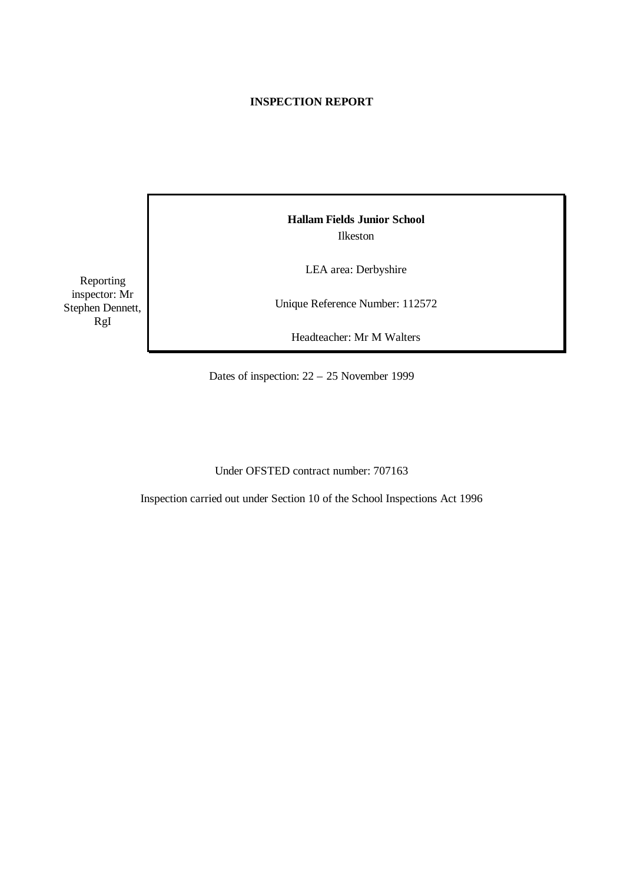# **INSPECTION REPORT**

Reporting inspector: Mr Stephen Dennett, RgI

**Hallam Fields Junior School** Ilkeston

LEA area: Derbyshire

Unique Reference Number: 112572

Headteacher: Mr M Walters

Dates of inspection: 22 – 25 November 1999

Under OFSTED contract number: 707163

Inspection carried out under Section 10 of the School Inspections Act 1996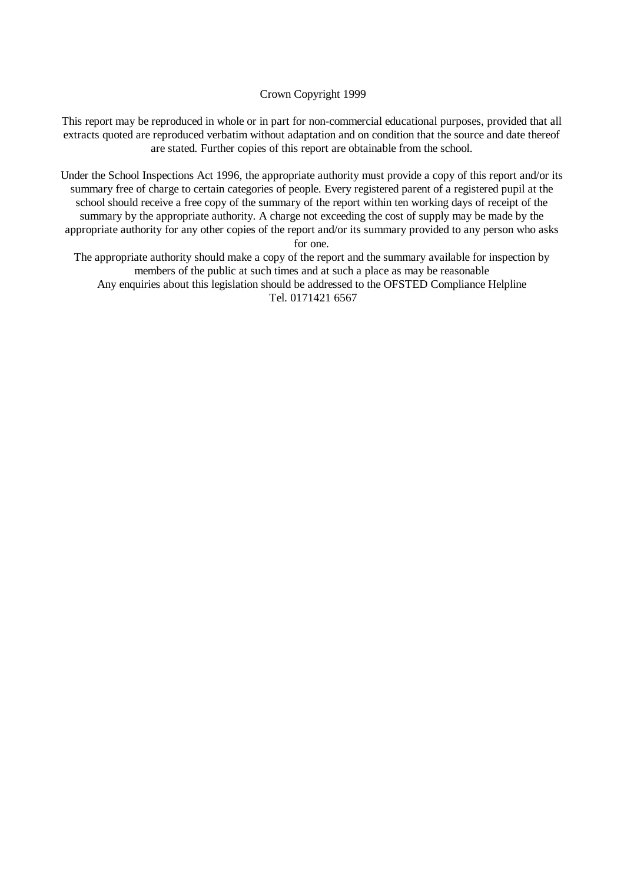#### Crown Copyright 1999

This report may be reproduced in whole or in part for non-commercial educational purposes, provided that all extracts quoted are reproduced verbatim without adaptation and on condition that the source and date thereof are stated. Further copies of this report are obtainable from the school.

Under the School Inspections Act 1996, the appropriate authority must provide a copy of this report and/or its summary free of charge to certain categories of people. Every registered parent of a registered pupil at the school should receive a free copy of the summary of the report within ten working days of receipt of the summary by the appropriate authority. A charge not exceeding the cost of supply may be made by the appropriate authority for any other copies of the report and/or its summary provided to any person who asks for one.

The appropriate authority should make a copy of the report and the summary available for inspection by members of the public at such times and at such a place as may be reasonable Any enquiries about this legislation should be addressed to the OFSTED Compliance Helpline Tel. 0171421 6567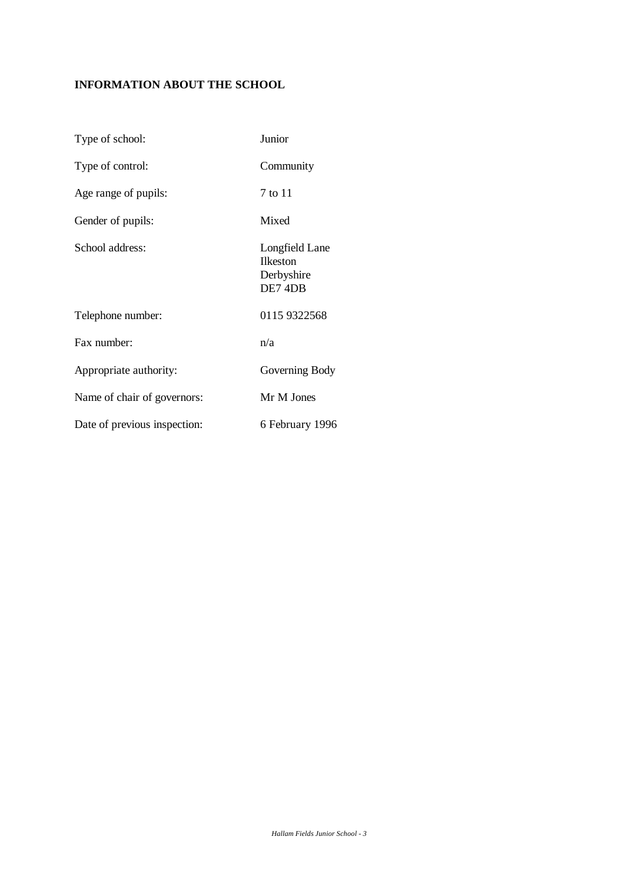# **INFORMATION ABOUT THE SCHOOL**

| Type of school:              | Junior                                                     |
|------------------------------|------------------------------------------------------------|
| Type of control:             | Community                                                  |
| Age range of pupils:         | 7 to 11                                                    |
| Gender of pupils:            | Mixed                                                      |
| School address:              | Longfield Lane<br><b>Ilkeston</b><br>Derbyshire<br>DE7 4DB |
| Telephone number:            | 0115 9322568                                               |
| Fax number:                  | n/a                                                        |
| Appropriate authority:       | Governing Body                                             |
| Name of chair of governors:  | Mr M Jones                                                 |
| Date of previous inspection: | 6 February 1996                                            |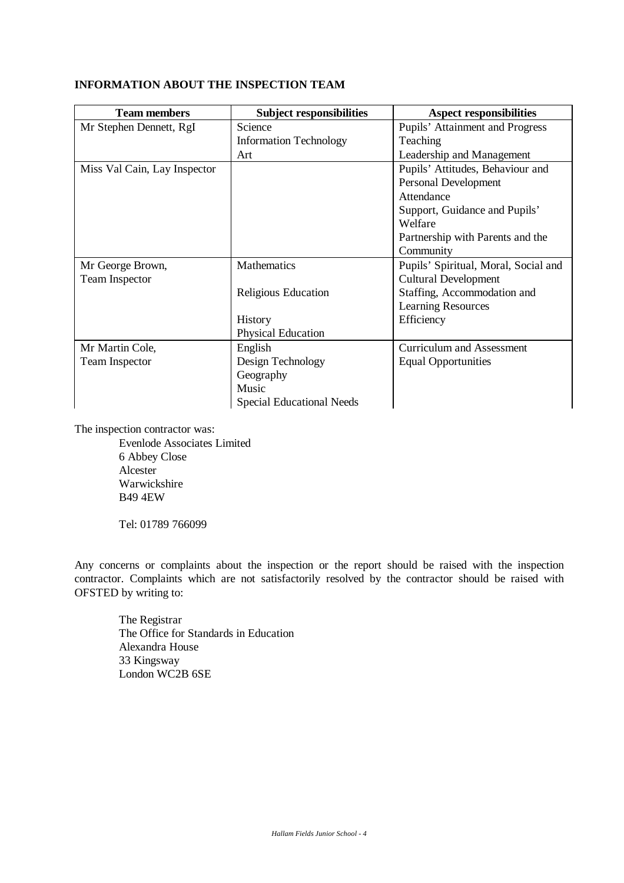# **INFORMATION ABOUT THE INSPECTION TEAM**

| <b>Team members</b>          | <b>Subject responsibilities</b>  | <b>Aspect responsibilities</b>       |
|------------------------------|----------------------------------|--------------------------------------|
| Mr Stephen Dennett, RgI      | Science                          | Pupils' Attainment and Progress      |
|                              | <b>Information Technology</b>    | Teaching                             |
|                              | Art                              | Leadership and Management            |
| Miss Val Cain, Lay Inspector |                                  | Pupils' Attitudes, Behaviour and     |
|                              |                                  | Personal Development                 |
|                              |                                  | Attendance                           |
|                              |                                  | Support, Guidance and Pupils'        |
|                              |                                  | Welfare                              |
|                              |                                  | Partnership with Parents and the     |
|                              |                                  | Community                            |
| Mr George Brown,             | Mathematics                      | Pupils' Spiritual, Moral, Social and |
| <b>Team Inspector</b>        |                                  | <b>Cultural Development</b>          |
|                              | Religious Education              | Staffing, Accommodation and          |
|                              |                                  | <b>Learning Resources</b>            |
|                              | History                          | Efficiency                           |
|                              | <b>Physical Education</b>        |                                      |
| Mr Martin Cole,              | English                          | <b>Curriculum and Assessment</b>     |
| <b>Team Inspector</b>        | Design Technology                | <b>Equal Opportunities</b>           |
|                              | Geography                        |                                      |
|                              | Music                            |                                      |
|                              | <b>Special Educational Needs</b> |                                      |

The inspection contractor was:

Evenlode Associates Limited 6 Abbey Close Alcester Warwickshire B49 4EW

Tel: 01789 766099

Any concerns or complaints about the inspection or the report should be raised with the inspection contractor. Complaints which are not satisfactorily resolved by the contractor should be raised with OFSTED by writing to:

The Registrar The Office for Standards in Education Alexandra House 33 Kingsway London WC2B 6SE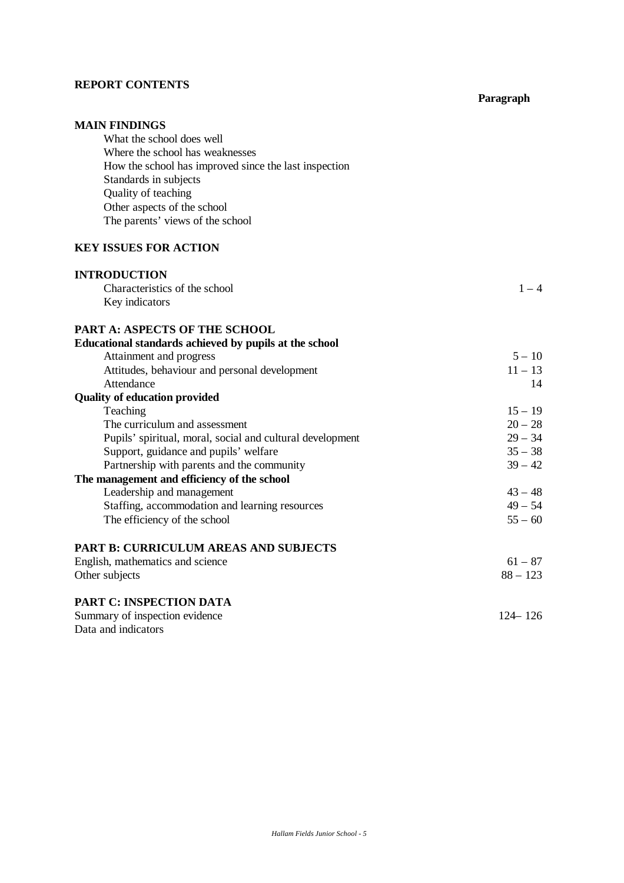#### **REPORT CONTENTS**

# **MAIN FINDINGS** What the school does well Where the school has weaknesses How the school has improved since the last inspection Standards in subjects Quality of teaching Other aspects of the school The parents' views of the school **KEY ISSUES FOR ACTION INTRODUCTION** Characteristics of the school  $1 - 4$ Key indicators **PART A: ASPECTS OF THE SCHOOL Educational standards achieved by pupils at the school** Attainment and progress  $5 - 10$ Attitudes, behaviour and personal development 11 – 13 Attendance and the set of the set of the set of the set of the set of the set of the set of the set of the set of the set of the set of the set of the set of the set of the set of the set of the set of the set of the set o **Quality of education provided** Teaching  $15 - 19$ The curriculum and assessment  $20 - 28$ Pupils' spiritual, moral, social and cultural development 29 – 34 Support, guidance and pupils' welfare  $35 - 38$ <br>Partnership with parents and the community  $39 - 42$ Partnership with parents and the community **The management and efficiency of the school** Leadership and management  $43 - 48$ Staffing, accommodation and learning resources  $49 - 54$ The efficiency of the school  $55 - 60$ **PART B: CURRICULUM AREAS AND SUBJECTS** English, mathematics and science  $61 - 87$ Other subjects 88 – 123 **PART C: INSPECTION DATA** Summary of inspection evidence 124–126 Data and indicators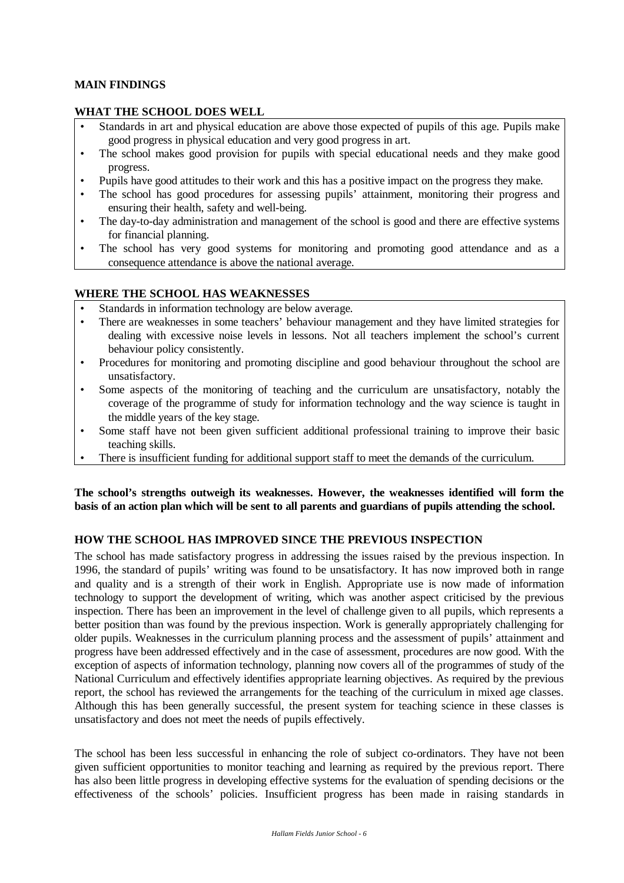## **MAIN FINDINGS**

## **WHAT THE SCHOOL DOES WELL**

- Standards in art and physical education are above those expected of pupils of this age. Pupils make good progress in physical education and very good progress in art.
- The school makes good provision for pupils with special educational needs and they make good progress.
- Pupils have good attitudes to their work and this has a positive impact on the progress they make.
- The school has good procedures for assessing pupils' attainment, monitoring their progress and ensuring their health, safety and well-being.
- The day-to-day administration and management of the school is good and there are effective systems for financial planning.
- The school has very good systems for monitoring and promoting good attendance and as a consequence attendance is above the national average.

#### **WHERE THE SCHOOL HAS WEAKNESSES**

- Standards in information technology are below average.
- There are weaknesses in some teachers' behaviour management and they have limited strategies for dealing with excessive noise levels in lessons. Not all teachers implement the school's current behaviour policy consistently.
- Procedures for monitoring and promoting discipline and good behaviour throughout the school are unsatisfactory.
- Some aspects of the monitoring of teaching and the curriculum are unsatisfactory, notably the coverage of the programme of study for information technology and the way science is taught in the middle years of the key stage.
- Some staff have not been given sufficient additional professional training to improve their basic teaching skills.
- There is insufficient funding for additional support staff to meet the demands of the curriculum.

**The school's strengths outweigh its weaknesses. However, the weaknesses identified will form the basis of an action plan which will be sent to all parents and guardians of pupils attending the school.**

# **HOW THE SCHOOL HAS IMPROVED SINCE THE PREVIOUS INSPECTION**

The school has made satisfactory progress in addressing the issues raised by the previous inspection. In 1996, the standard of pupils' writing was found to be unsatisfactory. It has now improved both in range and quality and is a strength of their work in English. Appropriate use is now made of information technology to support the development of writing, which was another aspect criticised by the previous inspection. There has been an improvement in the level of challenge given to all pupils, which represents a better position than was found by the previous inspection. Work is generally appropriately challenging for older pupils. Weaknesses in the curriculum planning process and the assessment of pupils' attainment and progress have been addressed effectively and in the case of assessment, procedures are now good. With the exception of aspects of information technology, planning now covers all of the programmes of study of the National Curriculum and effectively identifies appropriate learning objectives. As required by the previous report, the school has reviewed the arrangements for the teaching of the curriculum in mixed age classes. Although this has been generally successful, the present system for teaching science in these classes is unsatisfactory and does not meet the needs of pupils effectively.

The school has been less successful in enhancing the role of subject co-ordinators. They have not been given sufficient opportunities to monitor teaching and learning as required by the previous report. There has also been little progress in developing effective systems for the evaluation of spending decisions or the effectiveness of the schools' policies. Insufficient progress has been made in raising standards in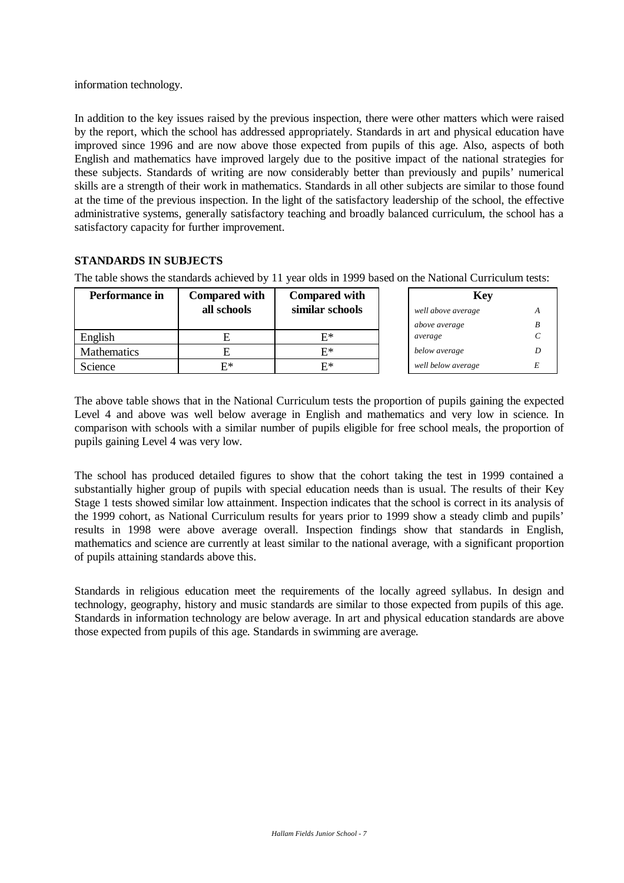information technology.

In addition to the key issues raised by the previous inspection, there were other matters which were raised by the report, which the school has addressed appropriately. Standards in art and physical education have improved since 1996 and are now above those expected from pupils of this age. Also, aspects of both English and mathematics have improved largely due to the positive impact of the national strategies for these subjects. Standards of writing are now considerably better than previously and pupils' numerical skills are a strength of their work in mathematics. Standards in all other subjects are similar to those found at the time of the previous inspection. In the light of the satisfactory leadership of the school, the effective administrative systems, generally satisfactory teaching and broadly balanced curriculum, the school has a satisfactory capacity for further improvement.

# **STANDARDS IN SUBJECTS**

The table shows the standards achieved by 11 year olds in 1999 based on the National Curriculum tests:

| Performance in     | <b>Compared with</b> | <b>Compared with</b> | <b>Key</b>         |  |
|--------------------|----------------------|----------------------|--------------------|--|
|                    | all schools          | similar schools      | well above average |  |
|                    |                      |                      | above average      |  |
| English            |                      | Е*                   | average            |  |
| <b>Mathematics</b> |                      | $E^*$                | below average      |  |
| Science            | F*                   | Е*                   | well below average |  |

The above table shows that in the National Curriculum tests the proportion of pupils gaining the expected Level 4 and above was well below average in English and mathematics and very low in science. In comparison with schools with a similar number of pupils eligible for free school meals, the proportion of pupils gaining Level 4 was very low.

The school has produced detailed figures to show that the cohort taking the test in 1999 contained a substantially higher group of pupils with special education needs than is usual. The results of their Key Stage 1 tests showed similar low attainment. Inspection indicates that the school is correct in its analysis of the 1999 cohort, as National Curriculum results for years prior to 1999 show a steady climb and pupils' results in 1998 were above average overall. Inspection findings show that standards in English, mathematics and science are currently at least similar to the national average, with a significant proportion of pupils attaining standards above this.

Standards in religious education meet the requirements of the locally agreed syllabus. In design and technology, geography, history and music standards are similar to those expected from pupils of this age. Standards in information technology are below average. In art and physical education standards are above those expected from pupils of this age. Standards in swimming are average.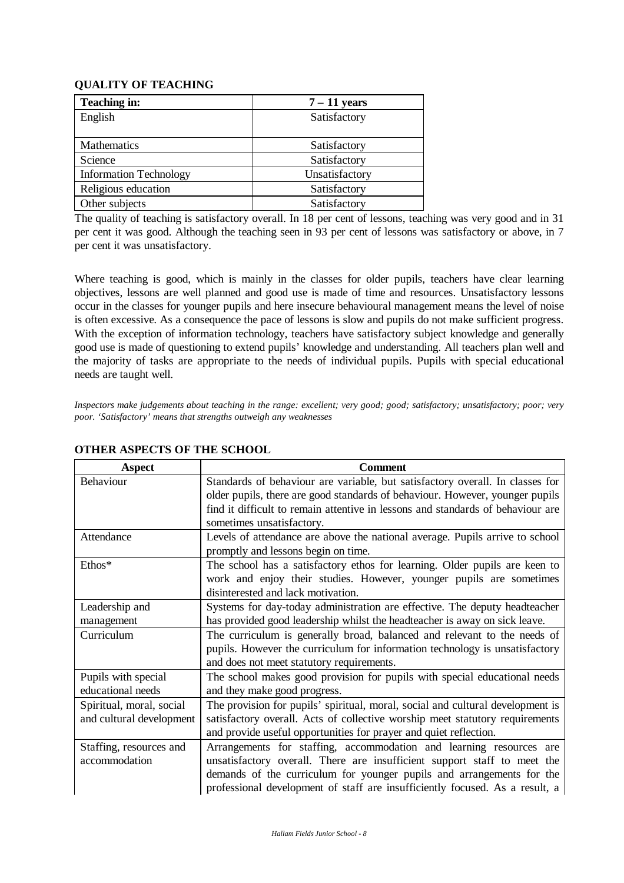# **QUALITY OF TEACHING**

| <b>Teaching in:</b>           | $7 - 11$ years |
|-------------------------------|----------------|
| English                       | Satisfactory   |
|                               |                |
| Mathematics                   | Satisfactory   |
| Science                       | Satisfactory   |
| <b>Information Technology</b> | Unsatisfactory |
| Religious education           | Satisfactory   |
| Other subjects                | Satisfactory   |

The quality of teaching is satisfactory overall. In 18 per cent of lessons, teaching was very good and in 31 per cent it was good. Although the teaching seen in 93 per cent of lessons was satisfactory or above, in 7 per cent it was unsatisfactory.

Where teaching is good, which is mainly in the classes for older pupils, teachers have clear learning objectives, lessons are well planned and good use is made of time and resources. Unsatisfactory lessons occur in the classes for younger pupils and here insecure behavioural management means the level of noise is often excessive. As a consequence the pace of lessons is slow and pupils do not make sufficient progress. With the exception of information technology, teachers have satisfactory subject knowledge and generally good use is made of questioning to extend pupils' knowledge and understanding. All teachers plan well and the majority of tasks are appropriate to the needs of individual pupils. Pupils with special educational needs are taught well.

*Inspectors make judgements about teaching in the range: excellent; very good; good; satisfactory; unsatisfactory; poor; very poor. 'Satisfactory' means that strengths outweigh any weaknesses*

| <b>Aspect</b>            | <b>Comment</b>                                                                  |  |
|--------------------------|---------------------------------------------------------------------------------|--|
| Behaviour                | Standards of behaviour are variable, but satisfactory overall. In classes for   |  |
|                          | older pupils, there are good standards of behaviour. However, younger pupils    |  |
|                          | find it difficult to remain attentive in lessons and standards of behaviour are |  |
|                          | sometimes unsatisfactory.                                                       |  |
| Attendance               | Levels of attendance are above the national average. Pupils arrive to school    |  |
|                          | promptly and lessons begin on time.                                             |  |
| Ethos*                   | The school has a satisfactory ethos for learning. Older pupils are keen to      |  |
|                          | work and enjoy their studies. However, younger pupils are sometimes             |  |
|                          | disinterested and lack motivation.                                              |  |
| Leadership and           | Systems for day-today administration are effective. The deputy headteacher      |  |
| management               | has provided good leadership whilst the headteacher is away on sick leave.      |  |
| Curriculum               | The curriculum is generally broad, balanced and relevant to the needs of        |  |
|                          | pupils. However the curriculum for information technology is unsatisfactory     |  |
|                          | and does not meet statutory requirements.                                       |  |
| Pupils with special      | The school makes good provision for pupils with special educational needs       |  |
| educational needs        | and they make good progress.                                                    |  |
| Spiritual, moral, social | The provision for pupils' spiritual, moral, social and cultural development is  |  |
| and cultural development | satisfactory overall. Acts of collective worship meet statutory requirements    |  |
|                          | and provide useful opportunities for prayer and quiet reflection.               |  |
| Staffing, resources and  | Arrangements for staffing, accommodation and learning resources are             |  |
| accommodation            | unsatisfactory overall. There are insufficient support staff to meet the        |  |
|                          | demands of the curriculum for younger pupils and arrangements for the           |  |
|                          | professional development of staff are insufficiently focused. As a result, a    |  |

#### **OTHER ASPECTS OF THE SCHOOL**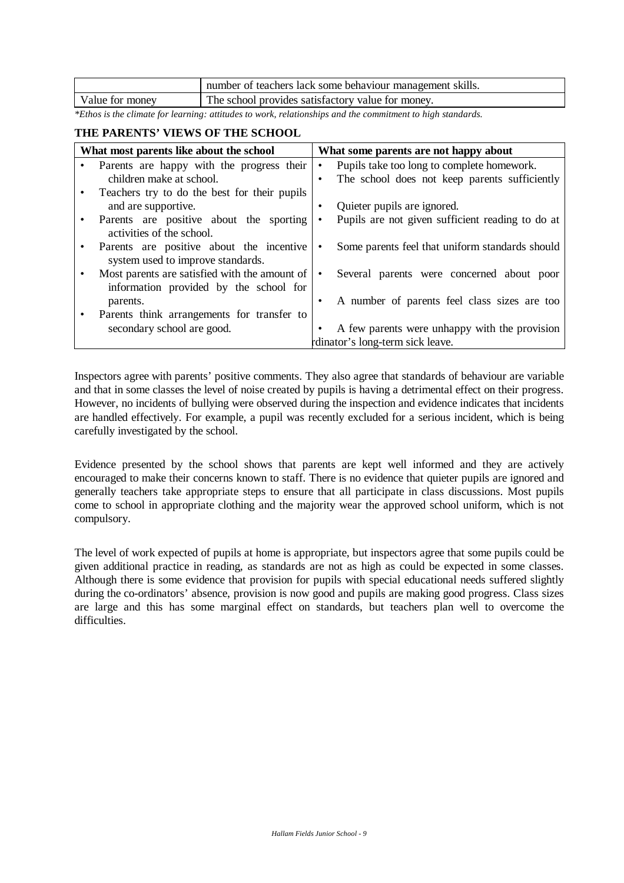|                 | number of teachers lack some behaviour management skills. |
|-----------------|-----------------------------------------------------------|
| Value for money | The school provides satisfactory value for money.         |

*\*Ethos is the climate for learning: attitudes to work, relationships and the commitment to high standards.*

## **THE PARENTS' VIEWS OF THE SCHOOL**

| What most parents like about the school                                                 | What some parents are not happy about |                                                  |
|-----------------------------------------------------------------------------------------|---------------------------------------|--------------------------------------------------|
| Parents are happy with the progress their                                               | $\bullet$                             | Pupils take too long to complete homework.       |
| children make at school.                                                                | $\bullet$                             | The school does not keep parents sufficiently    |
| Teachers try to do the best for their pupils                                            |                                       |                                                  |
| and are supportive.                                                                     | ٠                                     | Quieter pupils are ignored.                      |
| Parents are positive about the sporting<br>activities of the school.                    | $\bullet$                             | Pupils are not given sufficient reading to do at |
| Parents are positive about the incentive<br>system used to improve standards.           | ٠                                     | Some parents feel that uniform standards should  |
| Most parents are satisfied with the amount of<br>information provided by the school for | $\bullet$                             | Several parents were concerned about poor        |
| parents.                                                                                | ٠                                     | A number of parents feel class sizes are too     |
| Parents think arrangements for transfer to                                              |                                       |                                                  |
| secondary school are good.                                                              |                                       | A few parents were unhappy with the provision    |
|                                                                                         |                                       | rdinator's long-term sick leave.                 |

Inspectors agree with parents' positive comments. They also agree that standards of behaviour are variable and that in some classes the level of noise created by pupils is having a detrimental effect on their progress. However, no incidents of bullying were observed during the inspection and evidence indicates that incidents are handled effectively. For example, a pupil was recently excluded for a serious incident, which is being carefully investigated by the school.

Evidence presented by the school shows that parents are kept well informed and they are actively encouraged to make their concerns known to staff. There is no evidence that quieter pupils are ignored and generally teachers take appropriate steps to ensure that all participate in class discussions. Most pupils come to school in appropriate clothing and the majority wear the approved school uniform, which is not compulsory.

The level of work expected of pupils at home is appropriate, but inspectors agree that some pupils could be given additional practice in reading, as standards are not as high as could be expected in some classes. Although there is some evidence that provision for pupils with special educational needs suffered slightly during the co-ordinators' absence, provision is now good and pupils are making good progress. Class sizes are large and this has some marginal effect on standards, but teachers plan well to overcome the difficulties.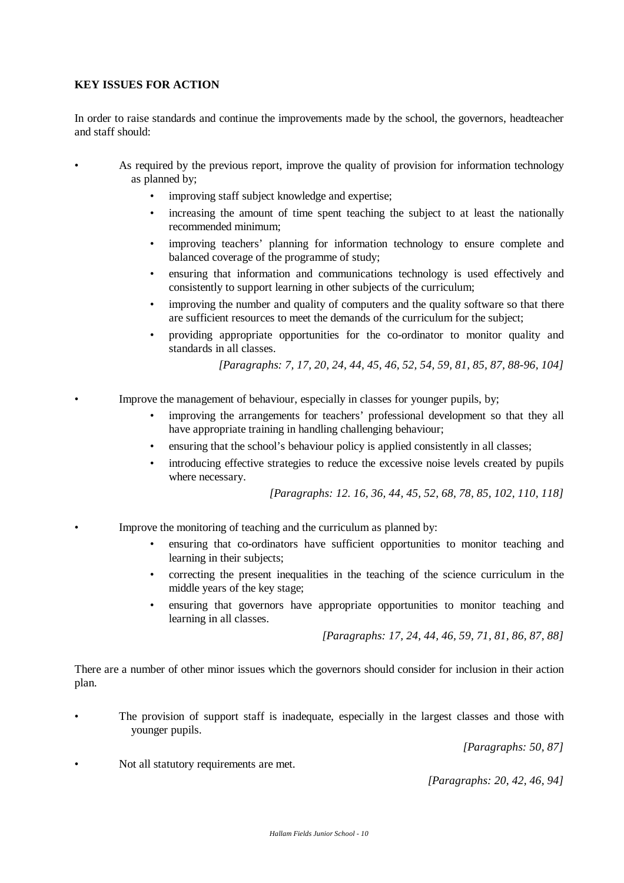## **KEY ISSUES FOR ACTION**

In order to raise standards and continue the improvements made by the school, the governors, headteacher and staff should:

- As required by the previous report, improve the quality of provision for information technology as planned by;
	- improving staff subject knowledge and expertise;
	- increasing the amount of time spent teaching the subject to at least the nationally recommended minimum;
	- improving teachers' planning for information technology to ensure complete and balanced coverage of the programme of study;
	- ensuring that information and communications technology is used effectively and consistently to support learning in other subjects of the curriculum;
	- improving the number and quality of computers and the quality software so that there are sufficient resources to meet the demands of the curriculum for the subject;
	- providing appropriate opportunities for the co-ordinator to monitor quality and standards in all classes.

*[Paragraphs: 7, 17, 20, 24, 44, 45, 46, 52, 54, 59, 81, 85, 87, 88-96, 104]*

- Improve the management of behaviour, especially in classes for younger pupils, by;
	- improving the arrangements for teachers' professional development so that they all have appropriate training in handling challenging behaviour;
	- ensuring that the school's behaviour policy is applied consistently in all classes;
	- introducing effective strategies to reduce the excessive noise levels created by pupils where necessary.

*[Paragraphs: 12. 16, 36, 44, 45, 52, 68, 78, 85, 102, 110, 118]*

- Improve the monitoring of teaching and the curriculum as planned by:
	- ensuring that co-ordinators have sufficient opportunities to monitor teaching and learning in their subjects;
	- correcting the present inequalities in the teaching of the science curriculum in the middle years of the key stage;
	- ensuring that governors have appropriate opportunities to monitor teaching and learning in all classes.

*[Paragraphs: 17, 24, 44, 46, 59, 71, 81, 86, 87, 88]*

There are a number of other minor issues which the governors should consider for inclusion in their action plan.

• The provision of support staff is inadequate, especially in the largest classes and those with younger pupils.

*[Paragraphs: 50, 87]*

• Not all statutory requirements are met.

*[Paragraphs: 20, 42, 46, 94]*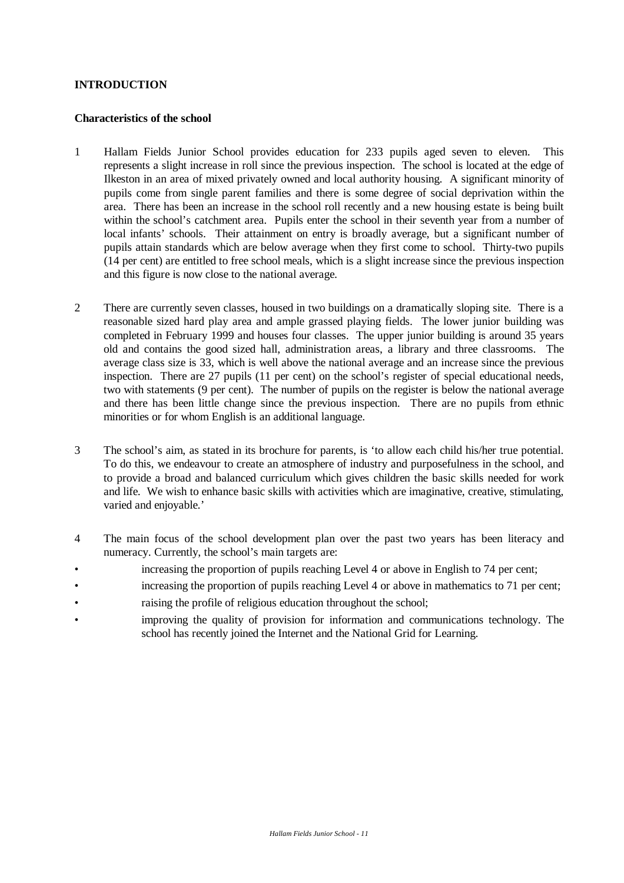## **INTRODUCTION**

#### **Characteristics of the school**

- 1 Hallam Fields Junior School provides education for 233 pupils aged seven to eleven. This represents a slight increase in roll since the previous inspection. The school is located at the edge of Ilkeston in an area of mixed privately owned and local authority housing. A significant minority of pupils come from single parent families and there is some degree of social deprivation within the area. There has been an increase in the school roll recently and a new housing estate is being built within the school's catchment area. Pupils enter the school in their seventh year from a number of local infants' schools. Their attainment on entry is broadly average, but a significant number of pupils attain standards which are below average when they first come to school. Thirty-two pupils (14 per cent) are entitled to free school meals, which is a slight increase since the previous inspection and this figure is now close to the national average.
- 2 There are currently seven classes, housed in two buildings on a dramatically sloping site. There is a reasonable sized hard play area and ample grassed playing fields. The lower junior building was completed in February 1999 and houses four classes. The upper junior building is around 35 years old and contains the good sized hall, administration areas, a library and three classrooms. The average class size is 33, which is well above the national average and an increase since the previous inspection. There are 27 pupils (11 per cent) on the school's register of special educational needs, two with statements (9 per cent). The number of pupils on the register is below the national average and there has been little change since the previous inspection. There are no pupils from ethnic minorities or for whom English is an additional language.
- 3 The school's aim, as stated in its brochure for parents, is 'to allow each child his/her true potential. To do this, we endeavour to create an atmosphere of industry and purposefulness in the school, and to provide a broad and balanced curriculum which gives children the basic skills needed for work and life. We wish to enhance basic skills with activities which are imaginative, creative, stimulating, varied and enjoyable.'
- 4 The main focus of the school development plan over the past two years has been literacy and numeracy. Currently, the school's main targets are:
- increasing the proportion of pupils reaching Level 4 or above in English to 74 per cent;
- increasing the proportion of pupils reaching Level 4 or above in mathematics to 71 per cent;
- raising the profile of religious education throughout the school;
- improving the quality of provision for information and communications technology. The school has recently joined the Internet and the National Grid for Learning.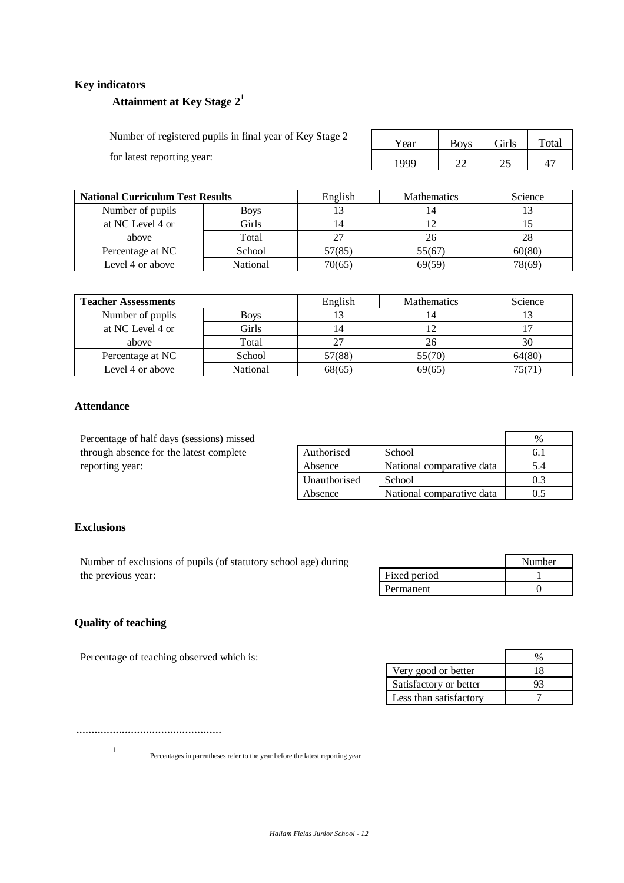## **Key indicators**

# **Attainment at Key Stage 2<sup>1</sup>**

Number of registered pupils in final year of Key Stage 2 Year Boys Girls Girls Total for latest reporting year:  $\begin{array}{|c|c|c|c|c|c|c|c|c|c|c|c|} \hline \text{1999} & \text{22} & \text{25} & \text{47} \end{array}$ 

| <b>National Curriculum Test Results</b> |             | English | <b>Mathematics</b> | Science |
|-----------------------------------------|-------------|---------|--------------------|---------|
| Number of pupils                        | <b>Boys</b> |         |                    |         |
| at NC Level 4 or                        | Girls       |         |                    |         |
| above                                   | Total       |         | 26                 | 28      |
| Percentage at NC                        | School      | 57(85)  | 55(67)             | 60(80)  |
| Level 4 or above                        | National    | 70(65)  | 69(59)             | 78(69)  |

| <b>Teacher Assessments</b> |          | English  | <b>Mathematics</b> | Science |
|----------------------------|----------|----------|--------------------|---------|
| Number of pupils           | Boys     |          | 14                 |         |
| at NC Level 4 or           | Girls    | <b>4</b> |                    |         |
| above                      | Total    | 27       | 26                 | 30      |
| Percentage at NC           | School   | 57(88)   | 55(70)             | 64(80)  |
| Level 4 or above           | National | 68(65)   | 69(65)             | 75(71,  |

#### **Attendance**

Percentage of half days (sessions) missed through absence for the latest complete reporting year:

| Authorised   | School                    | h.  |
|--------------|---------------------------|-----|
| Absence      | National comparative data | 5.4 |
| Unauthorised | School                    | 03  |
| Absence      | National comparative data |     |

#### **Exclusions**

Number of exclusions of pupils (of statutory school age) during the previous year:

|              | Number |
|--------------|--------|
| Fixed period |        |
| Permanent    |        |

# **Quality of teaching**

Percentage of teaching observed which is:

| Very good or better    | 18 |
|------------------------|----|
| Satisfactory or better |    |
| Less than satisfactory |    |

................................................

1

Percentages in parentheses refer to the year before the latest reporting year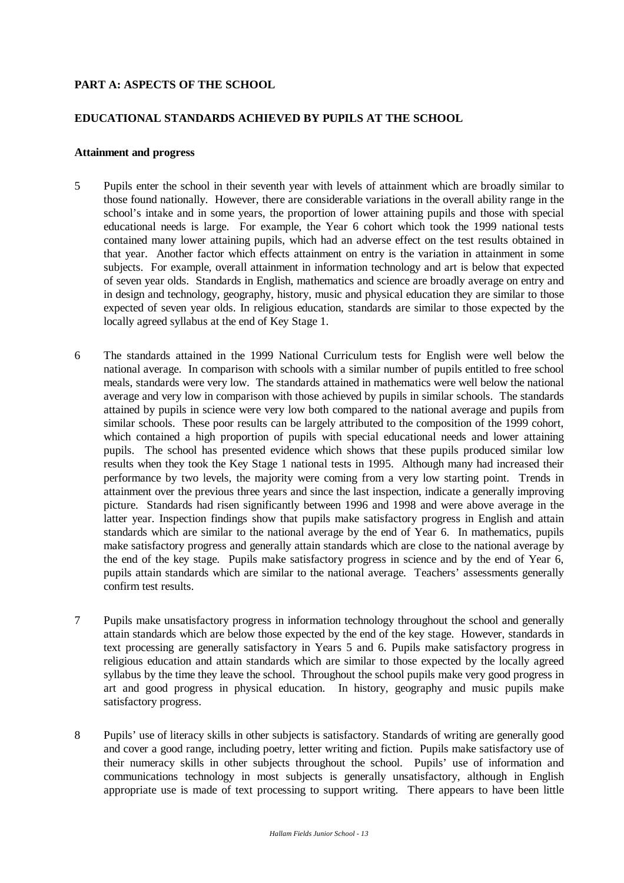## **PART A: ASPECTS OF THE SCHOOL**

## **EDUCATIONAL STANDARDS ACHIEVED BY PUPILS AT THE SCHOOL**

#### **Attainment and progress**

- 5 Pupils enter the school in their seventh year with levels of attainment which are broadly similar to those found nationally. However, there are considerable variations in the overall ability range in the school's intake and in some years, the proportion of lower attaining pupils and those with special educational needs is large. For example, the Year 6 cohort which took the 1999 national tests contained many lower attaining pupils, which had an adverse effect on the test results obtained in that year. Another factor which effects attainment on entry is the variation in attainment in some subjects. For example, overall attainment in information technology and art is below that expected of seven year olds. Standards in English, mathematics and science are broadly average on entry and in design and technology, geography, history, music and physical education they are similar to those expected of seven year olds. In religious education, standards are similar to those expected by the locally agreed syllabus at the end of Key Stage 1.
- 6 The standards attained in the 1999 National Curriculum tests for English were well below the national average. In comparison with schools with a similar number of pupils entitled to free school meals, standards were very low. The standards attained in mathematics were well below the national average and very low in comparison with those achieved by pupils in similar schools. The standards attained by pupils in science were very low both compared to the national average and pupils from similar schools. These poor results can be largely attributed to the composition of the 1999 cohort, which contained a high proportion of pupils with special educational needs and lower attaining pupils. The school has presented evidence which shows that these pupils produced similar low results when they took the Key Stage 1 national tests in 1995. Although many had increased their performance by two levels, the majority were coming from a very low starting point. Trends in attainment over the previous three years and since the last inspection, indicate a generally improving picture. Standards had risen significantly between 1996 and 1998 and were above average in the latter year. Inspection findings show that pupils make satisfactory progress in English and attain standards which are similar to the national average by the end of Year 6. In mathematics, pupils make satisfactory progress and generally attain standards which are close to the national average by the end of the key stage. Pupils make satisfactory progress in science and by the end of Year 6, pupils attain standards which are similar to the national average. Teachers' assessments generally confirm test results.
- 7 Pupils make unsatisfactory progress in information technology throughout the school and generally attain standards which are below those expected by the end of the key stage. However, standards in text processing are generally satisfactory in Years 5 and 6. Pupils make satisfactory progress in religious education and attain standards which are similar to those expected by the locally agreed syllabus by the time they leave the school. Throughout the school pupils make very good progress in art and good progress in physical education. In history, geography and music pupils make satisfactory progress.
- 8 Pupils' use of literacy skills in other subjects is satisfactory. Standards of writing are generally good and cover a good range, including poetry, letter writing and fiction. Pupils make satisfactory use of their numeracy skills in other subjects throughout the school. Pupils' use of information and communications technology in most subjects is generally unsatisfactory, although in English appropriate use is made of text processing to support writing. There appears to have been little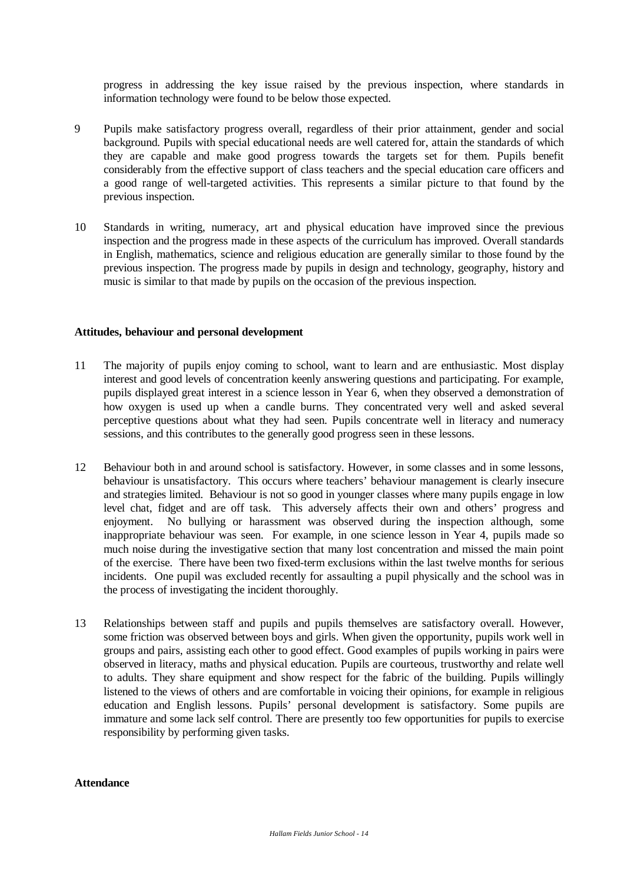progress in addressing the key issue raised by the previous inspection, where standards in information technology were found to be below those expected.

- 9 Pupils make satisfactory progress overall, regardless of their prior attainment, gender and social background. Pupils with special educational needs are well catered for, attain the standards of which they are capable and make good progress towards the targets set for them. Pupils benefit considerably from the effective support of class teachers and the special education care officers and a good range of well-targeted activities. This represents a similar picture to that found by the previous inspection.
- 10 Standards in writing, numeracy, art and physical education have improved since the previous inspection and the progress made in these aspects of the curriculum has improved. Overall standards in English, mathematics, science and religious education are generally similar to those found by the previous inspection. The progress made by pupils in design and technology, geography, history and music is similar to that made by pupils on the occasion of the previous inspection.

#### **Attitudes, behaviour and personal development**

- 11 The majority of pupils enjoy coming to school, want to learn and are enthusiastic. Most display interest and good levels of concentration keenly answering questions and participating. For example, pupils displayed great interest in a science lesson in Year 6, when they observed a demonstration of how oxygen is used up when a candle burns. They concentrated very well and asked several perceptive questions about what they had seen. Pupils concentrate well in literacy and numeracy sessions, and this contributes to the generally good progress seen in these lessons.
- 12 Behaviour both in and around school is satisfactory. However, in some classes and in some lessons, behaviour is unsatisfactory. This occurs where teachers' behaviour management is clearly insecure and strategies limited. Behaviour is not so good in younger classes where many pupils engage in low level chat, fidget and are off task. This adversely affects their own and others' progress and enjoyment. No bullying or harassment was observed during the inspection although, some inappropriate behaviour was seen. For example, in one science lesson in Year 4, pupils made so much noise during the investigative section that many lost concentration and missed the main point of the exercise. There have been two fixed-term exclusions within the last twelve months for serious incidents. One pupil was excluded recently for assaulting a pupil physically and the school was in the process of investigating the incident thoroughly.
- 13 Relationships between staff and pupils and pupils themselves are satisfactory overall. However, some friction was observed between boys and girls. When given the opportunity, pupils work well in groups and pairs, assisting each other to good effect. Good examples of pupils working in pairs were observed in literacy, maths and physical education. Pupils are courteous, trustworthy and relate well to adults. They share equipment and show respect for the fabric of the building. Pupils willingly listened to the views of others and are comfortable in voicing their opinions, for example in religious education and English lessons. Pupils' personal development is satisfactory. Some pupils are immature and some lack self control. There are presently too few opportunities for pupils to exercise responsibility by performing given tasks.

#### **Attendance**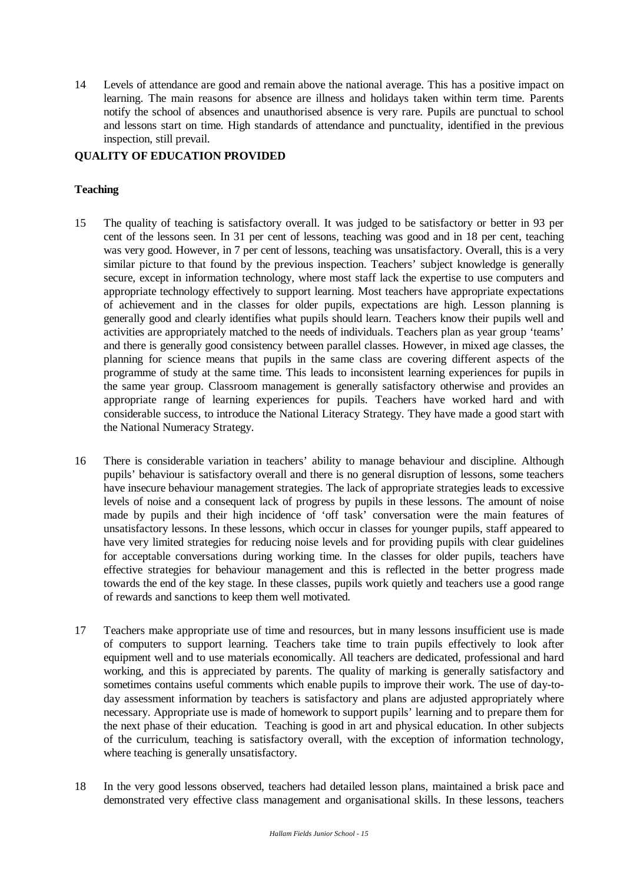14 Levels of attendance are good and remain above the national average. This has a positive impact on learning. The main reasons for absence are illness and holidays taken within term time. Parents notify the school of absences and unauthorised absence is very rare. Pupils are punctual to school and lessons start on time. High standards of attendance and punctuality, identified in the previous inspection, still prevail.

# **QUALITY OF EDUCATION PROVIDED**

# **Teaching**

- 15 The quality of teaching is satisfactory overall. It was judged to be satisfactory or better in 93 per cent of the lessons seen. In 31 per cent of lessons, teaching was good and in 18 per cent, teaching was very good. However, in 7 per cent of lessons, teaching was unsatisfactory. Overall, this is a very similar picture to that found by the previous inspection. Teachers' subject knowledge is generally secure, except in information technology, where most staff lack the expertise to use computers and appropriate technology effectively to support learning. Most teachers have appropriate expectations of achievement and in the classes for older pupils, expectations are high. Lesson planning is generally good and clearly identifies what pupils should learn. Teachers know their pupils well and activities are appropriately matched to the needs of individuals. Teachers plan as year group 'teams' and there is generally good consistency between parallel classes. However, in mixed age classes, the planning for science means that pupils in the same class are covering different aspects of the programme of study at the same time. This leads to inconsistent learning experiences for pupils in the same year group. Classroom management is generally satisfactory otherwise and provides an appropriate range of learning experiences for pupils. Teachers have worked hard and with considerable success, to introduce the National Literacy Strategy. They have made a good start with the National Numeracy Strategy.
- 16 There is considerable variation in teachers' ability to manage behaviour and discipline. Although pupils' behaviour is satisfactory overall and there is no general disruption of lessons, some teachers have insecure behaviour management strategies. The lack of appropriate strategies leads to excessive levels of noise and a consequent lack of progress by pupils in these lessons. The amount of noise made by pupils and their high incidence of 'off task' conversation were the main features of unsatisfactory lessons. In these lessons, which occur in classes for younger pupils, staff appeared to have very limited strategies for reducing noise levels and for providing pupils with clear guidelines for acceptable conversations during working time. In the classes for older pupils, teachers have effective strategies for behaviour management and this is reflected in the better progress made towards the end of the key stage. In these classes, pupils work quietly and teachers use a good range of rewards and sanctions to keep them well motivated.
- 17 Teachers make appropriate use of time and resources, but in many lessons insufficient use is made of computers to support learning. Teachers take time to train pupils effectively to look after equipment well and to use materials economically. All teachers are dedicated, professional and hard working, and this is appreciated by parents. The quality of marking is generally satisfactory and sometimes contains useful comments which enable pupils to improve their work. The use of day-today assessment information by teachers is satisfactory and plans are adjusted appropriately where necessary. Appropriate use is made of homework to support pupils' learning and to prepare them for the next phase of their education. Teaching is good in art and physical education. In other subjects of the curriculum, teaching is satisfactory overall, with the exception of information technology, where teaching is generally unsatisfactory.
- 18 In the very good lessons observed, teachers had detailed lesson plans, maintained a brisk pace and demonstrated very effective class management and organisational skills. In these lessons, teachers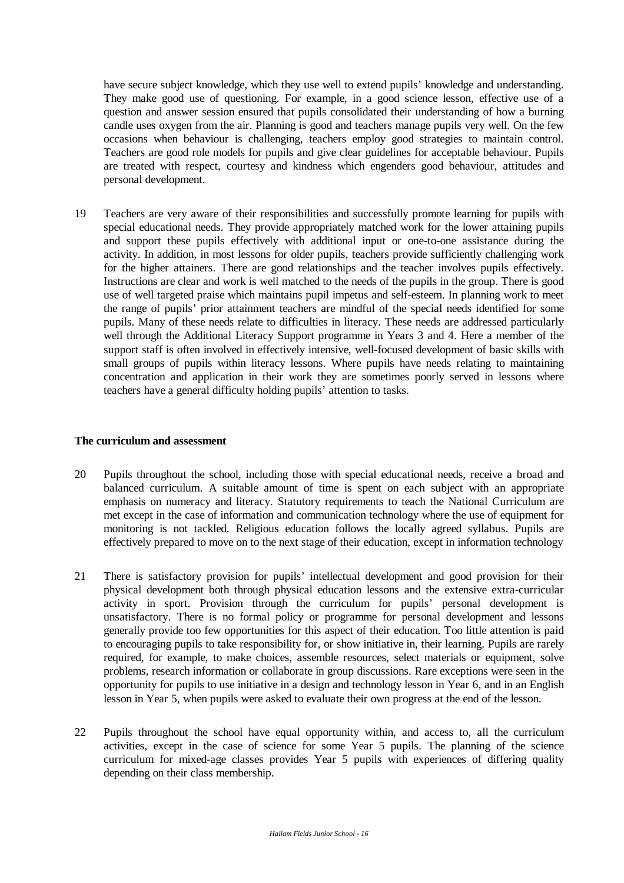have secure subject knowledge, which they use well to extend pupils' knowledge and understanding. They make good use of questioning. For example, in a good science lesson, effective use of a question and answer session ensured that pupils consolidated their understanding of how a burning candle uses oxygen from the air. Planning is good and teachers manage pupils very well. On the few occasions when behaviour is challenging, teachers employ good strategies to maintain control. Teachers are good role models for pupils and give clear guidelines for acceptable behaviour. Pupils are treated with respect, courtesy and kindness which engenders good behaviour, attitudes and personal development.

19 Teachers are very aware of their responsibilities and successfully promote learning for pupils with special educational needs. They provide appropriately matched work for the lower attaining pupils and support these pupils effectively with additional input or one-to-one assistance during the activity. In addition, in most lessons for older pupils, teachers provide sufficiently challenging work for the higher attainers. There are good relationships and the teacher involves pupils effectively. Instructions are clear and work is well matched to the needs of the pupils in the group. There is good use of well targeted praise which maintains pupil impetus and self-esteem. In planning work to meet the range of pupils' prior attainment teachers are mindful of the special needs identified for some pupils. Many of these needs relate to difficulties in literacy. These needs are addressed particularly well through the Additional Literacy Support programme in Years 3 and 4. Here a member of the support staff is often involved in effectively intensive, well-focused development of basic skills with small groups of pupils within literacy lessons. Where pupils have needs relating to maintaining concentration and application in their work they are sometimes poorly served in lessons where teachers have a general difficulty holding pupils' attention to tasks.

#### **The curriculum and assessment**

- 20 Pupils throughout the school, including those with special educational needs, receive a broad and balanced curriculum. A suitable amount of time is spent on each subject with an appropriate emphasis on numeracy and literacy. Statutory requirements to teach the National Curriculum are met except in the case of information and communication technology where the use of equipment for monitoring is not tackled. Religious education follows the locally agreed syllabus. Pupils are effectively prepared to move on to the next stage of their education, except in information technology
- 21 There is satisfactory provision for pupils' intellectual development and good provision for their physical development both through physical education lessons and the extensive extra-curricular activity in sport. Provision through the curriculum for pupils' personal development is unsatisfactory. There is no formal policy or programme for personal development and lessons generally provide too few opportunities for this aspect of their education. Too little attention is paid to encouraging pupils to take responsibility for, or show initiative in, their learning. Pupils are rarely required, for example, to make choices, assemble resources, select materials or equipment, solve problems, research information or collaborate in group discussions. Rare exceptions were seen in the opportunity for pupils to use initiative in a design and technology lesson in Year 6, and in an English lesson in Year 5, when pupils were asked to evaluate their own progress at the end of the lesson.
- 22 Pupils throughout the school have equal opportunity within, and access to, all the curriculum activities, except in the case of science for some Year 5 pupils. The planning of the science curriculum for mixed-age classes provides Year 5 pupils with experiences of differing quality depending on their class membership.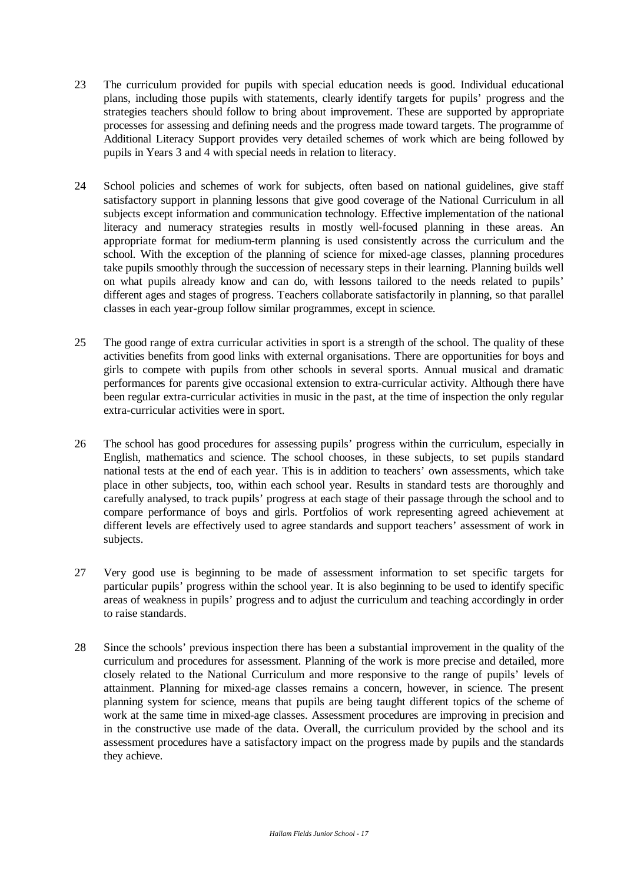- 23 The curriculum provided for pupils with special education needs is good. Individual educational plans, including those pupils with statements, clearly identify targets for pupils' progress and the strategies teachers should follow to bring about improvement. These are supported by appropriate processes for assessing and defining needs and the progress made toward targets. The programme of Additional Literacy Support provides very detailed schemes of work which are being followed by pupils in Years 3 and 4 with special needs in relation to literacy.
- 24 School policies and schemes of work for subjects, often based on national guidelines, give staff satisfactory support in planning lessons that give good coverage of the National Curriculum in all subjects except information and communication technology. Effective implementation of the national literacy and numeracy strategies results in mostly well-focused planning in these areas. An appropriate format for medium-term planning is used consistently across the curriculum and the school. With the exception of the planning of science for mixed-age classes, planning procedures take pupils smoothly through the succession of necessary steps in their learning. Planning builds well on what pupils already know and can do, with lessons tailored to the needs related to pupils' different ages and stages of progress. Teachers collaborate satisfactorily in planning, so that parallel classes in each year-group follow similar programmes, except in science.
- 25 The good range of extra curricular activities in sport is a strength of the school. The quality of these activities benefits from good links with external organisations. There are opportunities for boys and girls to compete with pupils from other schools in several sports. Annual musical and dramatic performances for parents give occasional extension to extra-curricular activity. Although there have been regular extra-curricular activities in music in the past, at the time of inspection the only regular extra-curricular activities were in sport.
- 26 The school has good procedures for assessing pupils' progress within the curriculum, especially in English, mathematics and science. The school chooses, in these subjects, to set pupils standard national tests at the end of each year. This is in addition to teachers' own assessments, which take place in other subjects, too, within each school year. Results in standard tests are thoroughly and carefully analysed, to track pupils' progress at each stage of their passage through the school and to compare performance of boys and girls. Portfolios of work representing agreed achievement at different levels are effectively used to agree standards and support teachers' assessment of work in subjects.
- 27 Very good use is beginning to be made of assessment information to set specific targets for particular pupils' progress within the school year. It is also beginning to be used to identify specific areas of weakness in pupils' progress and to adjust the curriculum and teaching accordingly in order to raise standards.
- 28 Since the schools' previous inspection there has been a substantial improvement in the quality of the curriculum and procedures for assessment. Planning of the work is more precise and detailed, more closely related to the National Curriculum and more responsive to the range of pupils' levels of attainment. Planning for mixed-age classes remains a concern, however, in science. The present planning system for science, means that pupils are being taught different topics of the scheme of work at the same time in mixed-age classes. Assessment procedures are improving in precision and in the constructive use made of the data. Overall, the curriculum provided by the school and its assessment procedures have a satisfactory impact on the progress made by pupils and the standards they achieve.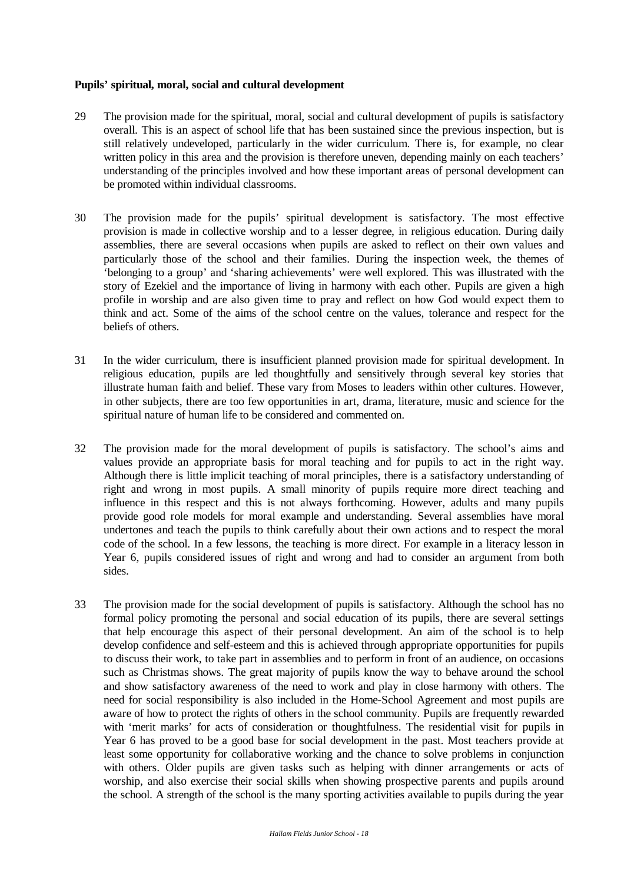#### **Pupils' spiritual, moral, social and cultural development**

- 29 The provision made for the spiritual, moral, social and cultural development of pupils is satisfactory overall. This is an aspect of school life that has been sustained since the previous inspection, but is still relatively undeveloped, particularly in the wider curriculum. There is, for example, no clear written policy in this area and the provision is therefore uneven, depending mainly on each teachers' understanding of the principles involved and how these important areas of personal development can be promoted within individual classrooms.
- 30 The provision made for the pupils' spiritual development is satisfactory. The most effective provision is made in collective worship and to a lesser degree, in religious education. During daily assemblies, there are several occasions when pupils are asked to reflect on their own values and particularly those of the school and their families. During the inspection week, the themes of 'belonging to a group' and 'sharing achievements' were well explored. This was illustrated with the story of Ezekiel and the importance of living in harmony with each other. Pupils are given a high profile in worship and are also given time to pray and reflect on how God would expect them to think and act. Some of the aims of the school centre on the values, tolerance and respect for the beliefs of others.
- 31 In the wider curriculum, there is insufficient planned provision made for spiritual development. In religious education, pupils are led thoughtfully and sensitively through several key stories that illustrate human faith and belief. These vary from Moses to leaders within other cultures. However, in other subjects, there are too few opportunities in art, drama, literature, music and science for the spiritual nature of human life to be considered and commented on.
- 32 The provision made for the moral development of pupils is satisfactory. The school's aims and values provide an appropriate basis for moral teaching and for pupils to act in the right way. Although there is little implicit teaching of moral principles, there is a satisfactory understanding of right and wrong in most pupils. A small minority of pupils require more direct teaching and influence in this respect and this is not always forthcoming. However, adults and many pupils provide good role models for moral example and understanding. Several assemblies have moral undertones and teach the pupils to think carefully about their own actions and to respect the moral code of the school. In a few lessons, the teaching is more direct. For example in a literacy lesson in Year 6, pupils considered issues of right and wrong and had to consider an argument from both sides.
- 33 The provision made for the social development of pupils is satisfactory. Although the school has no formal policy promoting the personal and social education of its pupils, there are several settings that help encourage this aspect of their personal development. An aim of the school is to help develop confidence and self-esteem and this is achieved through appropriate opportunities for pupils to discuss their work, to take part in assemblies and to perform in front of an audience, on occasions such as Christmas shows. The great majority of pupils know the way to behave around the school and show satisfactory awareness of the need to work and play in close harmony with others. The need for social responsibility is also included in the Home-School Agreement and most pupils are aware of how to protect the rights of others in the school community. Pupils are frequently rewarded with 'merit marks' for acts of consideration or thoughtfulness. The residential visit for pupils in Year 6 has proved to be a good base for social development in the past. Most teachers provide at least some opportunity for collaborative working and the chance to solve problems in conjunction with others. Older pupils are given tasks such as helping with dinner arrangements or acts of worship, and also exercise their social skills when showing prospective parents and pupils around the school. A strength of the school is the many sporting activities available to pupils during the year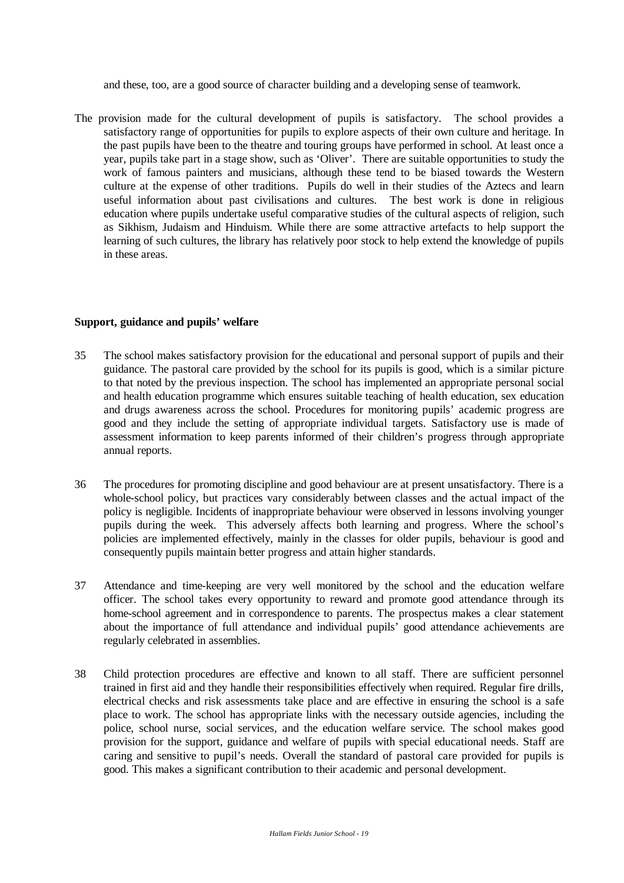and these, too, are a good source of character building and a developing sense of teamwork.

The provision made for the cultural development of pupils is satisfactory. The school provides a satisfactory range of opportunities for pupils to explore aspects of their own culture and heritage. In the past pupils have been to the theatre and touring groups have performed in school. At least once a year, pupils take part in a stage show, such as 'Oliver'. There are suitable opportunities to study the work of famous painters and musicians, although these tend to be biased towards the Western culture at the expense of other traditions. Pupils do well in their studies of the Aztecs and learn useful information about past civilisations and cultures. The best work is done in religious education where pupils undertake useful comparative studies of the cultural aspects of religion, such as Sikhism, Judaism and Hinduism. While there are some attractive artefacts to help support the learning of such cultures, the library has relatively poor stock to help extend the knowledge of pupils in these areas.

#### **Support, guidance and pupils' welfare**

- 35 The school makes satisfactory provision for the educational and personal support of pupils and their guidance. The pastoral care provided by the school for its pupils is good, which is a similar picture to that noted by the previous inspection. The school has implemented an appropriate personal social and health education programme which ensures suitable teaching of health education, sex education and drugs awareness across the school. Procedures for monitoring pupils' academic progress are good and they include the setting of appropriate individual targets. Satisfactory use is made of assessment information to keep parents informed of their children's progress through appropriate annual reports.
- 36 The procedures for promoting discipline and good behaviour are at present unsatisfactory. There is a whole-school policy, but practices vary considerably between classes and the actual impact of the policy is negligible. Incidents of inappropriate behaviour were observed in lessons involving younger pupils during the week. This adversely affects both learning and progress. Where the school's policies are implemented effectively, mainly in the classes for older pupils, behaviour is good and consequently pupils maintain better progress and attain higher standards.
- 37 Attendance and time-keeping are very well monitored by the school and the education welfare officer. The school takes every opportunity to reward and promote good attendance through its home-school agreement and in correspondence to parents. The prospectus makes a clear statement about the importance of full attendance and individual pupils' good attendance achievements are regularly celebrated in assemblies.
- 38 Child protection procedures are effective and known to all staff. There are sufficient personnel trained in first aid and they handle their responsibilities effectively when required. Regular fire drills, electrical checks and risk assessments take place and are effective in ensuring the school is a safe place to work. The school has appropriate links with the necessary outside agencies, including the police, school nurse, social services, and the education welfare service. The school makes good provision for the support, guidance and welfare of pupils with special educational needs. Staff are caring and sensitive to pupil's needs. Overall the standard of pastoral care provided for pupils is good. This makes a significant contribution to their academic and personal development.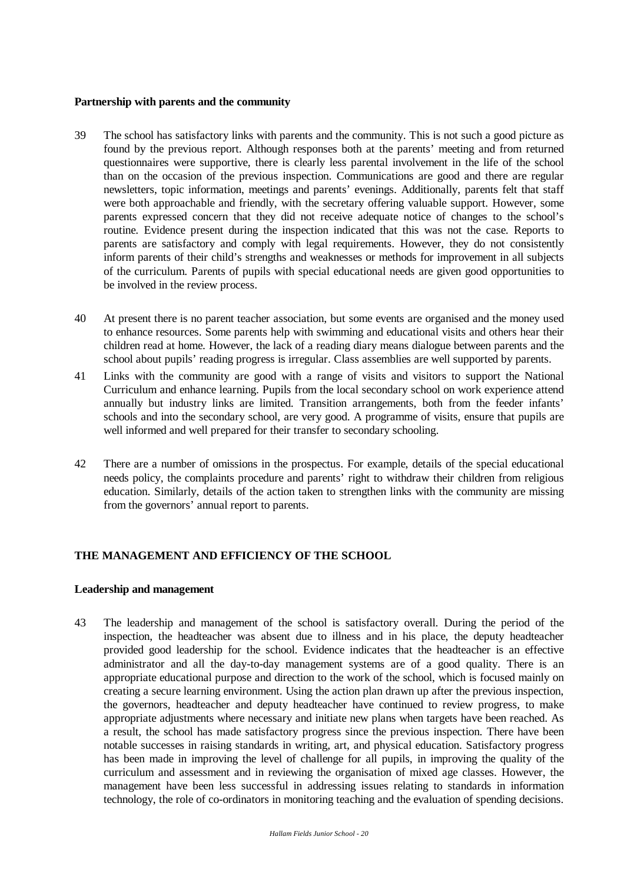#### **Partnership with parents and the community**

- 39 The school has satisfactory links with parents and the community. This is not such a good picture as found by the previous report. Although responses both at the parents' meeting and from returned questionnaires were supportive, there is clearly less parental involvement in the life of the school than on the occasion of the previous inspection. Communications are good and there are regular newsletters, topic information, meetings and parents' evenings. Additionally, parents felt that staff were both approachable and friendly, with the secretary offering valuable support. However, some parents expressed concern that they did not receive adequate notice of changes to the school's routine. Evidence present during the inspection indicated that this was not the case. Reports to parents are satisfactory and comply with legal requirements. However, they do not consistently inform parents of their child's strengths and weaknesses or methods for improvement in all subjects of the curriculum. Parents of pupils with special educational needs are given good opportunities to be involved in the review process.
- 40 At present there is no parent teacher association, but some events are organised and the money used to enhance resources. Some parents help with swimming and educational visits and others hear their children read at home. However, the lack of a reading diary means dialogue between parents and the school about pupils' reading progress is irregular. Class assemblies are well supported by parents.
- 41 Links with the community are good with a range of visits and visitors to support the National Curriculum and enhance learning. Pupils from the local secondary school on work experience attend annually but industry links are limited. Transition arrangements, both from the feeder infants' schools and into the secondary school, are very good. A programme of visits, ensure that pupils are well informed and well prepared for their transfer to secondary schooling.
- 42 There are a number of omissions in the prospectus. For example, details of the special educational needs policy, the complaints procedure and parents' right to withdraw their children from religious education. Similarly, details of the action taken to strengthen links with the community are missing from the governors' annual report to parents.

#### **THE MANAGEMENT AND EFFICIENCY OF THE SCHOOL**

#### **Leadership and management**

43 The leadership and management of the school is satisfactory overall. During the period of the inspection, the headteacher was absent due to illness and in his place, the deputy headteacher provided good leadership for the school. Evidence indicates that the headteacher is an effective administrator and all the day-to-day management systems are of a good quality. There is an appropriate educational purpose and direction to the work of the school, which is focused mainly on creating a secure learning environment. Using the action plan drawn up after the previous inspection, the governors, headteacher and deputy headteacher have continued to review progress, to make appropriate adjustments where necessary and initiate new plans when targets have been reached. As a result, the school has made satisfactory progress since the previous inspection. There have been notable successes in raising standards in writing, art, and physical education. Satisfactory progress has been made in improving the level of challenge for all pupils, in improving the quality of the curriculum and assessment and in reviewing the organisation of mixed age classes. However, the management have been less successful in addressing issues relating to standards in information technology, the role of co-ordinators in monitoring teaching and the evaluation of spending decisions.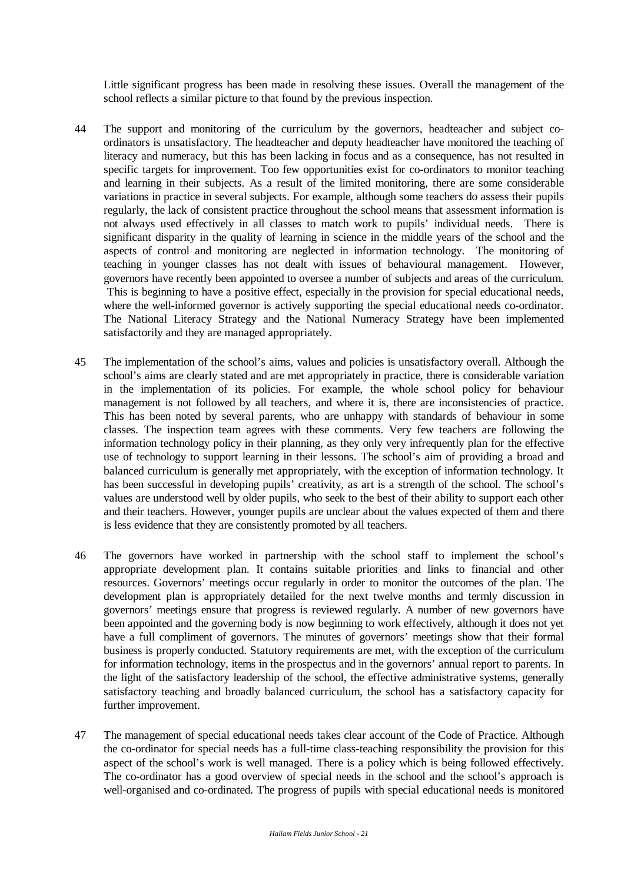Little significant progress has been made in resolving these issues. Overall the management of the school reflects a similar picture to that found by the previous inspection.

- 44 The support and monitoring of the curriculum by the governors, headteacher and subject coordinators is unsatisfactory. The headteacher and deputy headteacher have monitored the teaching of literacy and numeracy, but this has been lacking in focus and as a consequence, has not resulted in specific targets for improvement. Too few opportunities exist for co-ordinators to monitor teaching and learning in their subjects. As a result of the limited monitoring, there are some considerable variations in practice in several subjects. For example, although some teachers do assess their pupils regularly, the lack of consistent practice throughout the school means that assessment information is not always used effectively in all classes to match work to pupils' individual needs. There is significant disparity in the quality of learning in science in the middle years of the school and the aspects of control and monitoring are neglected in information technology. The monitoring of teaching in younger classes has not dealt with issues of behavioural management. However, governors have recently been appointed to oversee a number of subjects and areas of the curriculum. This is beginning to have a positive effect, especially in the provision for special educational needs, where the well-informed governor is actively supporting the special educational needs co-ordinator. The National Literacy Strategy and the National Numeracy Strategy have been implemented satisfactorily and they are managed appropriately.
- 45 The implementation of the school's aims, values and policies is unsatisfactory overall. Although the school's aims are clearly stated and are met appropriately in practice, there is considerable variation in the implementation of its policies. For example, the whole school policy for behaviour management is not followed by all teachers, and where it is, there are inconsistencies of practice. This has been noted by several parents, who are unhappy with standards of behaviour in some classes. The inspection team agrees with these comments. Very few teachers are following the information technology policy in their planning, as they only very infrequently plan for the effective use of technology to support learning in their lessons. The school's aim of providing a broad and balanced curriculum is generally met appropriately, with the exception of information technology. It has been successful in developing pupils' creativity, as art is a strength of the school. The school's values are understood well by older pupils, who seek to the best of their ability to support each other and their teachers. However, younger pupils are unclear about the values expected of them and there is less evidence that they are consistently promoted by all teachers.
- 46 The governors have worked in partnership with the school staff to implement the school's appropriate development plan. It contains suitable priorities and links to financial and other resources. Governors' meetings occur regularly in order to monitor the outcomes of the plan. The development plan is appropriately detailed for the next twelve months and termly discussion in governors' meetings ensure that progress is reviewed regularly. A number of new governors have been appointed and the governing body is now beginning to work effectively, although it does not yet have a full compliment of governors. The minutes of governors' meetings show that their formal business is properly conducted. Statutory requirements are met, with the exception of the curriculum for information technology, items in the prospectus and in the governors' annual report to parents. In the light of the satisfactory leadership of the school, the effective administrative systems, generally satisfactory teaching and broadly balanced curriculum, the school has a satisfactory capacity for further improvement.
- 47 The management of special educational needs takes clear account of the Code of Practice. Although the co-ordinator for special needs has a full-time class-teaching responsibility the provision for this aspect of the school's work is well managed. There is a policy which is being followed effectively. The co-ordinator has a good overview of special needs in the school and the school's approach is well-organised and co-ordinated. The progress of pupils with special educational needs is monitored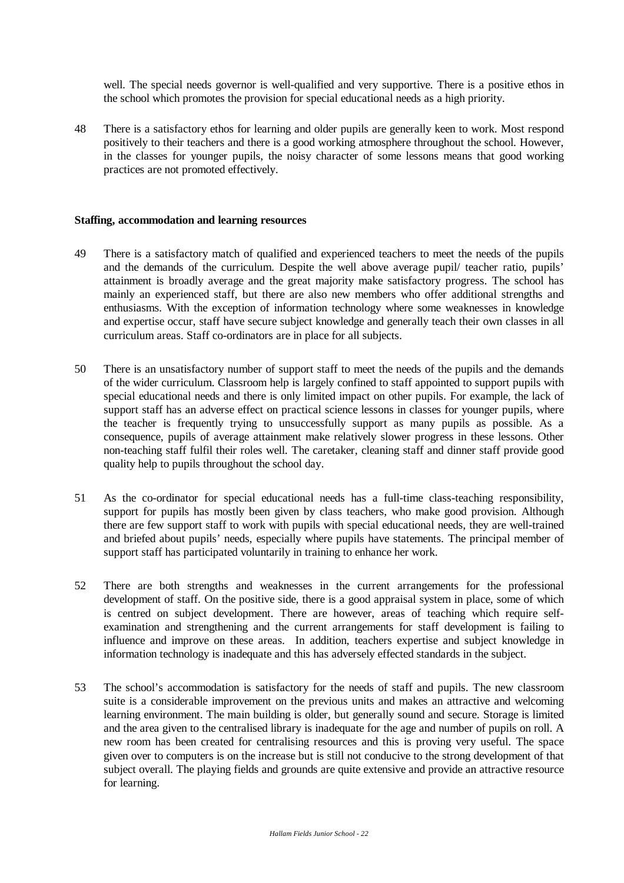well. The special needs governor is well-qualified and very supportive. There is a positive ethos in the school which promotes the provision for special educational needs as a high priority.

48 There is a satisfactory ethos for learning and older pupils are generally keen to work. Most respond positively to their teachers and there is a good working atmosphere throughout the school. However, in the classes for younger pupils, the noisy character of some lessons means that good working practices are not promoted effectively.

#### **Staffing, accommodation and learning resources**

- 49 There is a satisfactory match of qualified and experienced teachers to meet the needs of the pupils and the demands of the curriculum. Despite the well above average pupil/ teacher ratio, pupils' attainment is broadly average and the great majority make satisfactory progress. The school has mainly an experienced staff, but there are also new members who offer additional strengths and enthusiasms. With the exception of information technology where some weaknesses in knowledge and expertise occur, staff have secure subject knowledge and generally teach their own classes in all curriculum areas. Staff co-ordinators are in place for all subjects.
- 50 There is an unsatisfactory number of support staff to meet the needs of the pupils and the demands of the wider curriculum. Classroom help is largely confined to staff appointed to support pupils with special educational needs and there is only limited impact on other pupils. For example, the lack of support staff has an adverse effect on practical science lessons in classes for younger pupils, where the teacher is frequently trying to unsuccessfully support as many pupils as possible. As a consequence, pupils of average attainment make relatively slower progress in these lessons. Other non-teaching staff fulfil their roles well. The caretaker, cleaning staff and dinner staff provide good quality help to pupils throughout the school day.
- 51 As the co-ordinator for special educational needs has a full-time class-teaching responsibility, support for pupils has mostly been given by class teachers, who make good provision. Although there are few support staff to work with pupils with special educational needs, they are well-trained and briefed about pupils' needs, especially where pupils have statements. The principal member of support staff has participated voluntarily in training to enhance her work.
- 52 There are both strengths and weaknesses in the current arrangements for the professional development of staff. On the positive side, there is a good appraisal system in place, some of which is centred on subject development. There are however, areas of teaching which require selfexamination and strengthening and the current arrangements for staff development is failing to influence and improve on these areas. In addition, teachers expertise and subject knowledge in information technology is inadequate and this has adversely effected standards in the subject.
- 53 The school's accommodation is satisfactory for the needs of staff and pupils. The new classroom suite is a considerable improvement on the previous units and makes an attractive and welcoming learning environment. The main building is older, but generally sound and secure. Storage is limited and the area given to the centralised library is inadequate for the age and number of pupils on roll. A new room has been created for centralising resources and this is proving very useful. The space given over to computers is on the increase but is still not conducive to the strong development of that subject overall. The playing fields and grounds are quite extensive and provide an attractive resource for learning.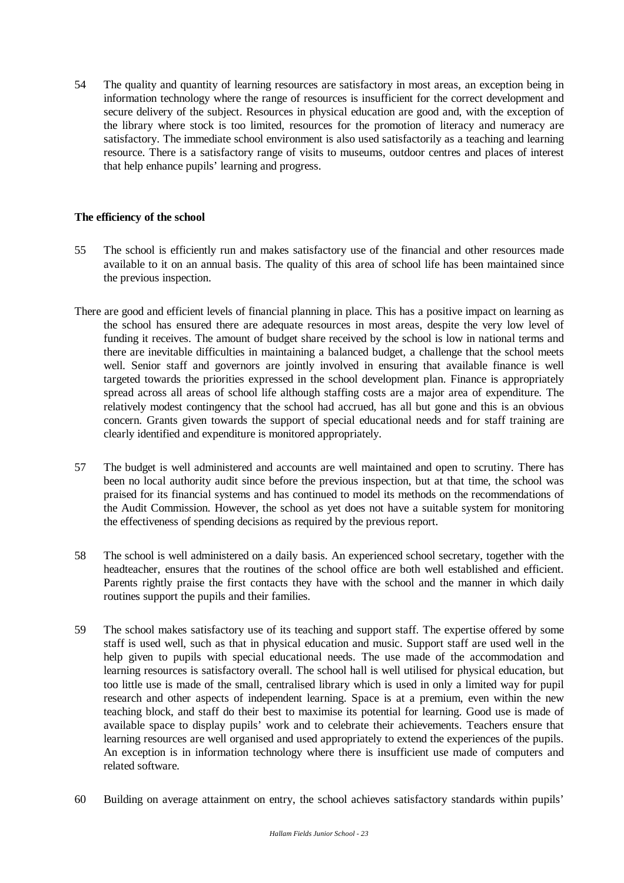54 The quality and quantity of learning resources are satisfactory in most areas, an exception being in information technology where the range of resources is insufficient for the correct development and secure delivery of the subject. Resources in physical education are good and, with the exception of the library where stock is too limited, resources for the promotion of literacy and numeracy are satisfactory. The immediate school environment is also used satisfactorily as a teaching and learning resource. There is a satisfactory range of visits to museums, outdoor centres and places of interest that help enhance pupils' learning and progress.

## **The efficiency of the school**

- 55 The school is efficiently run and makes satisfactory use of the financial and other resources made available to it on an annual basis. The quality of this area of school life has been maintained since the previous inspection.
- There are good and efficient levels of financial planning in place. This has a positive impact on learning as the school has ensured there are adequate resources in most areas, despite the very low level of funding it receives. The amount of budget share received by the school is low in national terms and there are inevitable difficulties in maintaining a balanced budget, a challenge that the school meets well. Senior staff and governors are jointly involved in ensuring that available finance is well targeted towards the priorities expressed in the school development plan. Finance is appropriately spread across all areas of school life although staffing costs are a major area of expenditure. The relatively modest contingency that the school had accrued, has all but gone and this is an obvious concern. Grants given towards the support of special educational needs and for staff training are clearly identified and expenditure is monitored appropriately.
- 57 The budget is well administered and accounts are well maintained and open to scrutiny. There has been no local authority audit since before the previous inspection, but at that time, the school was praised for its financial systems and has continued to model its methods on the recommendations of the Audit Commission. However, the school as yet does not have a suitable system for monitoring the effectiveness of spending decisions as required by the previous report.
- 58 The school is well administered on a daily basis. An experienced school secretary, together with the headteacher, ensures that the routines of the school office are both well established and efficient. Parents rightly praise the first contacts they have with the school and the manner in which daily routines support the pupils and their families.
- 59 The school makes satisfactory use of its teaching and support staff. The expertise offered by some staff is used well, such as that in physical education and music. Support staff are used well in the help given to pupils with special educational needs. The use made of the accommodation and learning resources is satisfactory overall. The school hall is well utilised for physical education, but too little use is made of the small, centralised library which is used in only a limited way for pupil research and other aspects of independent learning. Space is at a premium, even within the new teaching block, and staff do their best to maximise its potential for learning. Good use is made of available space to display pupils' work and to celebrate their achievements. Teachers ensure that learning resources are well organised and used appropriately to extend the experiences of the pupils. An exception is in information technology where there is insufficient use made of computers and related software.
- 60 Building on average attainment on entry, the school achieves satisfactory standards within pupils'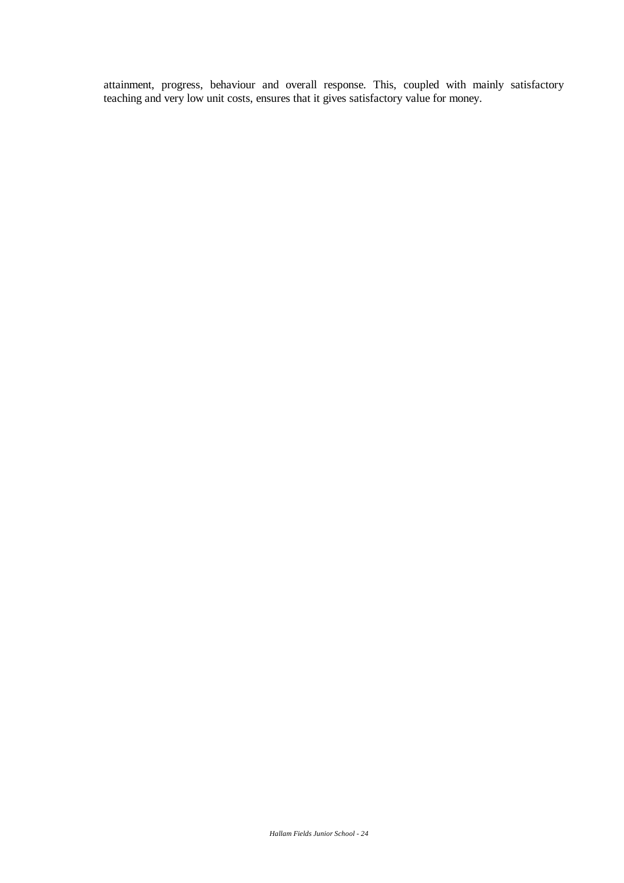attainment, progress, behaviour and overall response. This, coupled with mainly satisfactory teaching and very low unit costs, ensures that it gives satisfactory value for money.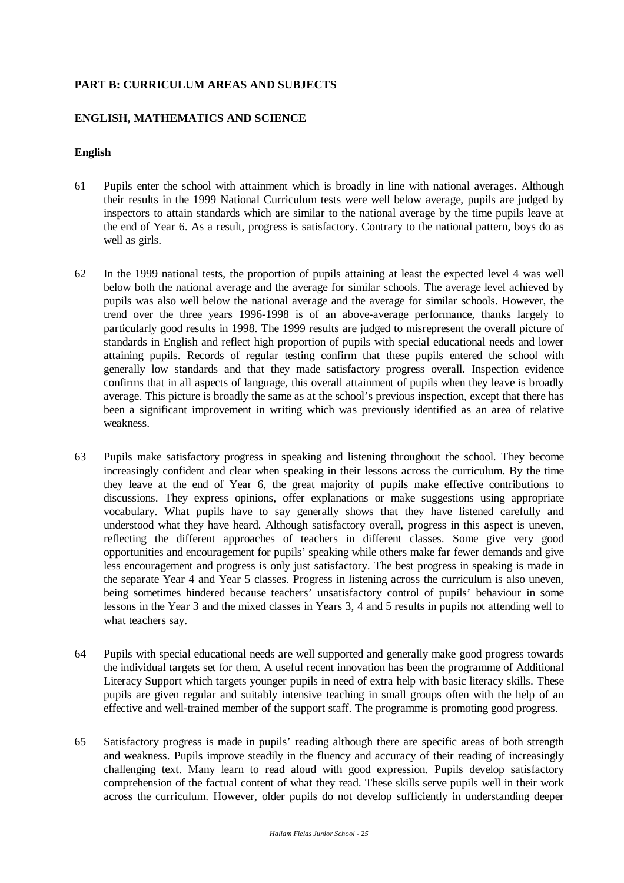## **PART B: CURRICULUM AREAS AND SUBJECTS**

#### **ENGLISH, MATHEMATICS AND SCIENCE**

#### **English**

- 61 Pupils enter the school with attainment which is broadly in line with national averages. Although their results in the 1999 National Curriculum tests were well below average, pupils are judged by inspectors to attain standards which are similar to the national average by the time pupils leave at the end of Year 6. As a result, progress is satisfactory. Contrary to the national pattern, boys do as well as girls.
- 62 In the 1999 national tests, the proportion of pupils attaining at least the expected level 4 was well below both the national average and the average for similar schools. The average level achieved by pupils was also well below the national average and the average for similar schools. However, the trend over the three years 1996-1998 is of an above-average performance, thanks largely to particularly good results in 1998. The 1999 results are judged to misrepresent the overall picture of standards in English and reflect high proportion of pupils with special educational needs and lower attaining pupils. Records of regular testing confirm that these pupils entered the school with generally low standards and that they made satisfactory progress overall. Inspection evidence confirms that in all aspects of language, this overall attainment of pupils when they leave is broadly average. This picture is broadly the same as at the school's previous inspection, except that there has been a significant improvement in writing which was previously identified as an area of relative weakness.
- 63 Pupils make satisfactory progress in speaking and listening throughout the school. They become increasingly confident and clear when speaking in their lessons across the curriculum. By the time they leave at the end of Year 6, the great majority of pupils make effective contributions to discussions. They express opinions, offer explanations or make suggestions using appropriate vocabulary. What pupils have to say generally shows that they have listened carefully and understood what they have heard. Although satisfactory overall, progress in this aspect is uneven, reflecting the different approaches of teachers in different classes. Some give very good opportunities and encouragement for pupils' speaking while others make far fewer demands and give less encouragement and progress is only just satisfactory. The best progress in speaking is made in the separate Year 4 and Year 5 classes. Progress in listening across the curriculum is also uneven, being sometimes hindered because teachers' unsatisfactory control of pupils' behaviour in some lessons in the Year 3 and the mixed classes in Years 3, 4 and 5 results in pupils not attending well to what teachers say.
- 64 Pupils with special educational needs are well supported and generally make good progress towards the individual targets set for them. A useful recent innovation has been the programme of Additional Literacy Support which targets younger pupils in need of extra help with basic literacy skills. These pupils are given regular and suitably intensive teaching in small groups often with the help of an effective and well-trained member of the support staff. The programme is promoting good progress.
- 65 Satisfactory progress is made in pupils' reading although there are specific areas of both strength and weakness. Pupils improve steadily in the fluency and accuracy of their reading of increasingly challenging text. Many learn to read aloud with good expression. Pupils develop satisfactory comprehension of the factual content of what they read. These skills serve pupils well in their work across the curriculum. However, older pupils do not develop sufficiently in understanding deeper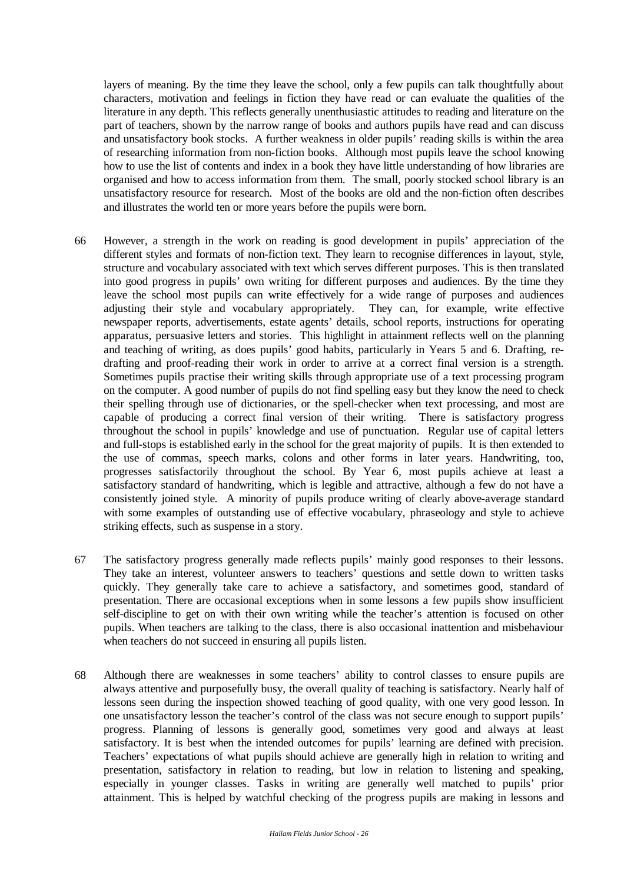layers of meaning. By the time they leave the school, only a few pupils can talk thoughtfully about characters, motivation and feelings in fiction they have read or can evaluate the qualities of the literature in any depth. This reflects generally unenthusiastic attitudes to reading and literature on the part of teachers, shown by the narrow range of books and authors pupils have read and can discuss and unsatisfactory book stocks. A further weakness in older pupils' reading skills is within the area of researching information from non-fiction books. Although most pupils leave the school knowing how to use the list of contents and index in a book they have little understanding of how libraries are organised and how to access information from them. The small, poorly stocked school library is an unsatisfactory resource for research. Most of the books are old and the non-fiction often describes and illustrates the world ten or more years before the pupils were born.

- 66 However, a strength in the work on reading is good development in pupils' appreciation of the different styles and formats of non-fiction text. They learn to recognise differences in layout, style, structure and vocabulary associated with text which serves different purposes. This is then translated into good progress in pupils' own writing for different purposes and audiences. By the time they leave the school most pupils can write effectively for a wide range of purposes and audiences adjusting their style and vocabulary appropriately. They can, for example, write effective newspaper reports, advertisements, estate agents' details, school reports, instructions for operating apparatus, persuasive letters and stories. This highlight in attainment reflects well on the planning and teaching of writing, as does pupils' good habits, particularly in Years 5 and 6. Drafting, redrafting and proof-reading their work in order to arrive at a correct final version is a strength. Sometimes pupils practise their writing skills through appropriate use of a text processing program on the computer. A good number of pupils do not find spelling easy but they know the need to check their spelling through use of dictionaries, or the spell-checker when text processing, and most are capable of producing a correct final version of their writing. There is satisfactory progress throughout the school in pupils' knowledge and use of punctuation. Regular use of capital letters and full-stops is established early in the school for the great majority of pupils. It is then extended to the use of commas, speech marks, colons and other forms in later years. Handwriting, too, progresses satisfactorily throughout the school. By Year 6, most pupils achieve at least a satisfactory standard of handwriting, which is legible and attractive, although a few do not have a consistently joined style. A minority of pupils produce writing of clearly above-average standard with some examples of outstanding use of effective vocabulary, phraseology and style to achieve striking effects, such as suspense in a story.
- 67 The satisfactory progress generally made reflects pupils' mainly good responses to their lessons. They take an interest, volunteer answers to teachers' questions and settle down to written tasks quickly. They generally take care to achieve a satisfactory, and sometimes good, standard of presentation. There are occasional exceptions when in some lessons a few pupils show insufficient self-discipline to get on with their own writing while the teacher's attention is focused on other pupils. When teachers are talking to the class, there is also occasional inattention and misbehaviour when teachers do not succeed in ensuring all pupils listen.
- 68 Although there are weaknesses in some teachers' ability to control classes to ensure pupils are always attentive and purposefully busy, the overall quality of teaching is satisfactory. Nearly half of lessons seen during the inspection showed teaching of good quality, with one very good lesson. In one unsatisfactory lesson the teacher's control of the class was not secure enough to support pupils' progress. Planning of lessons is generally good, sometimes very good and always at least satisfactory. It is best when the intended outcomes for pupils' learning are defined with precision. Teachers' expectations of what pupils should achieve are generally high in relation to writing and presentation, satisfactory in relation to reading, but low in relation to listening and speaking, especially in younger classes. Tasks in writing are generally well matched to pupils' prior attainment. This is helped by watchful checking of the progress pupils are making in lessons and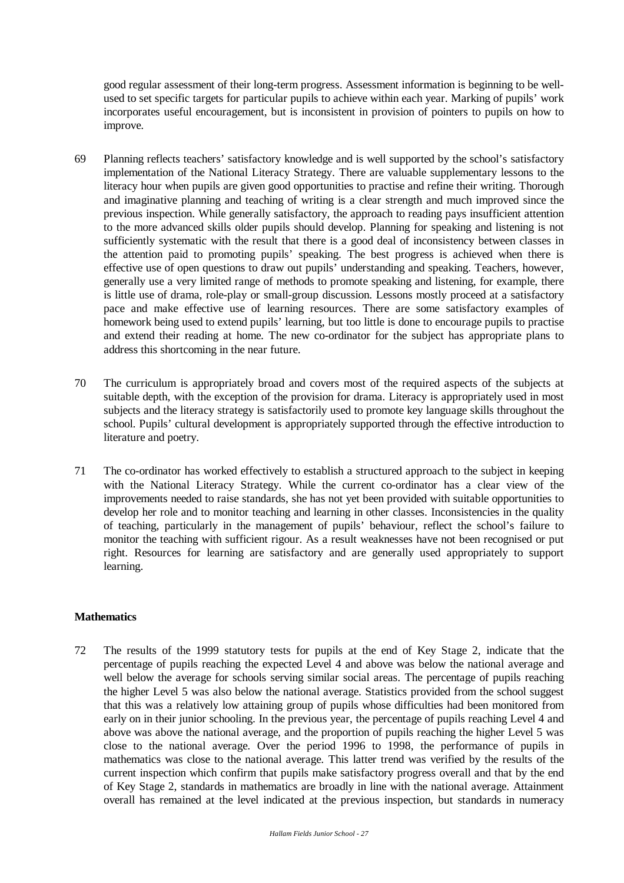good regular assessment of their long-term progress. Assessment information is beginning to be wellused to set specific targets for particular pupils to achieve within each year. Marking of pupils' work incorporates useful encouragement, but is inconsistent in provision of pointers to pupils on how to improve.

- 69 Planning reflects teachers' satisfactory knowledge and is well supported by the school's satisfactory implementation of the National Literacy Strategy. There are valuable supplementary lessons to the literacy hour when pupils are given good opportunities to practise and refine their writing. Thorough and imaginative planning and teaching of writing is a clear strength and much improved since the previous inspection. While generally satisfactory, the approach to reading pays insufficient attention to the more advanced skills older pupils should develop. Planning for speaking and listening is not sufficiently systematic with the result that there is a good deal of inconsistency between classes in the attention paid to promoting pupils' speaking. The best progress is achieved when there is effective use of open questions to draw out pupils' understanding and speaking. Teachers, however, generally use a very limited range of methods to promote speaking and listening, for example, there is little use of drama, role-play or small-group discussion. Lessons mostly proceed at a satisfactory pace and make effective use of learning resources. There are some satisfactory examples of homework being used to extend pupils' learning, but too little is done to encourage pupils to practise and extend their reading at home. The new co-ordinator for the subject has appropriate plans to address this shortcoming in the near future.
- 70 The curriculum is appropriately broad and covers most of the required aspects of the subjects at suitable depth, with the exception of the provision for drama. Literacy is appropriately used in most subjects and the literacy strategy is satisfactorily used to promote key language skills throughout the school. Pupils' cultural development is appropriately supported through the effective introduction to literature and poetry.
- 71 The co-ordinator has worked effectively to establish a structured approach to the subject in keeping with the National Literacy Strategy. While the current co-ordinator has a clear view of the improvements needed to raise standards, she has not yet been provided with suitable opportunities to develop her role and to monitor teaching and learning in other classes. Inconsistencies in the quality of teaching, particularly in the management of pupils' behaviour, reflect the school's failure to monitor the teaching with sufficient rigour. As a result weaknesses have not been recognised or put right. Resources for learning are satisfactory and are generally used appropriately to support learning.

#### **Mathematics**

72 The results of the 1999 statutory tests for pupils at the end of Key Stage 2, indicate that the percentage of pupils reaching the expected Level 4 and above was below the national average and well below the average for schools serving similar social areas. The percentage of pupils reaching the higher Level 5 was also below the national average. Statistics provided from the school suggest that this was a relatively low attaining group of pupils whose difficulties had been monitored from early on in their junior schooling. In the previous year, the percentage of pupils reaching Level 4 and above was above the national average, and the proportion of pupils reaching the higher Level 5 was close to the national average. Over the period 1996 to 1998, the performance of pupils in mathematics was close to the national average. This latter trend was verified by the results of the current inspection which confirm that pupils make satisfactory progress overall and that by the end of Key Stage 2, standards in mathematics are broadly in line with the national average. Attainment overall has remained at the level indicated at the previous inspection, but standards in numeracy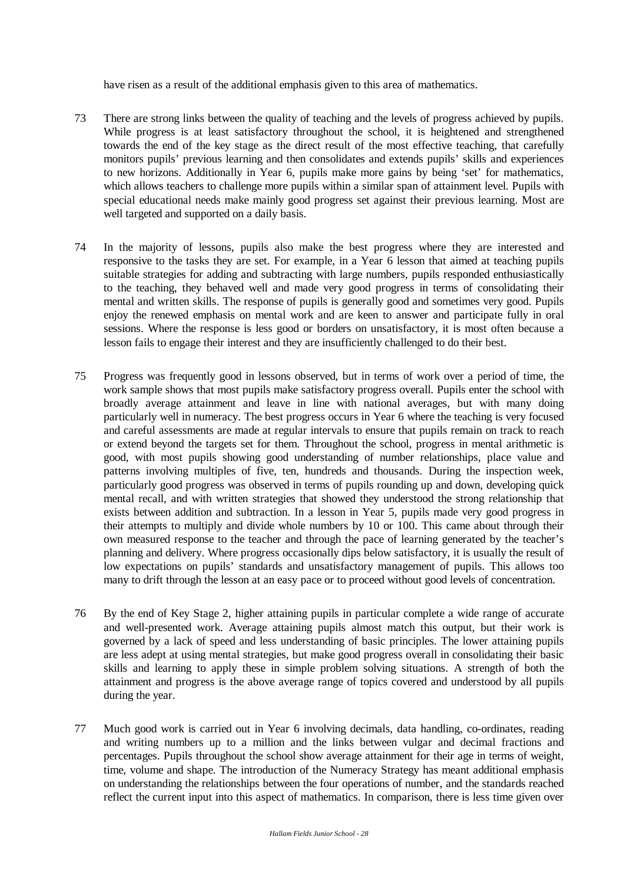have risen as a result of the additional emphasis given to this area of mathematics.

- 73 There are strong links between the quality of teaching and the levels of progress achieved by pupils. While progress is at least satisfactory throughout the school, it is heightened and strengthened towards the end of the key stage as the direct result of the most effective teaching, that carefully monitors pupils' previous learning and then consolidates and extends pupils' skills and experiences to new horizons. Additionally in Year 6, pupils make more gains by being 'set' for mathematics, which allows teachers to challenge more pupils within a similar span of attainment level. Pupils with special educational needs make mainly good progress set against their previous learning. Most are well targeted and supported on a daily basis.
- 74 In the majority of lessons, pupils also make the best progress where they are interested and responsive to the tasks they are set. For example, in a Year 6 lesson that aimed at teaching pupils suitable strategies for adding and subtracting with large numbers, pupils responded enthusiastically to the teaching, they behaved well and made very good progress in terms of consolidating their mental and written skills. The response of pupils is generally good and sometimes very good. Pupils enjoy the renewed emphasis on mental work and are keen to answer and participate fully in oral sessions. Where the response is less good or borders on unsatisfactory, it is most often because a lesson fails to engage their interest and they are insufficiently challenged to do their best.
- 75 Progress was frequently good in lessons observed, but in terms of work over a period of time, the work sample shows that most pupils make satisfactory progress overall. Pupils enter the school with broadly average attainment and leave in line with national averages, but with many doing particularly well in numeracy. The best progress occurs in Year 6 where the teaching is very focused and careful assessments are made at regular intervals to ensure that pupils remain on track to reach or extend beyond the targets set for them. Throughout the school, progress in mental arithmetic is good, with most pupils showing good understanding of number relationships, place value and patterns involving multiples of five, ten, hundreds and thousands. During the inspection week, particularly good progress was observed in terms of pupils rounding up and down, developing quick mental recall, and with written strategies that showed they understood the strong relationship that exists between addition and subtraction. In a lesson in Year 5, pupils made very good progress in their attempts to multiply and divide whole numbers by 10 or 100. This came about through their own measured response to the teacher and through the pace of learning generated by the teacher's planning and delivery. Where progress occasionally dips below satisfactory, it is usually the result of low expectations on pupils' standards and unsatisfactory management of pupils. This allows too many to drift through the lesson at an easy pace or to proceed without good levels of concentration.
- 76 By the end of Key Stage 2, higher attaining pupils in particular complete a wide range of accurate and well-presented work. Average attaining pupils almost match this output, but their work is governed by a lack of speed and less understanding of basic principles. The lower attaining pupils are less adept at using mental strategies, but make good progress overall in consolidating their basic skills and learning to apply these in simple problem solving situations. A strength of both the attainment and progress is the above average range of topics covered and understood by all pupils during the year.
- 77 Much good work is carried out in Year 6 involving decimals, data handling, co-ordinates, reading and writing numbers up to a million and the links between vulgar and decimal fractions and percentages. Pupils throughout the school show average attainment for their age in terms of weight, time, volume and shape. The introduction of the Numeracy Strategy has meant additional emphasis on understanding the relationships between the four operations of number, and the standards reached reflect the current input into this aspect of mathematics. In comparison, there is less time given over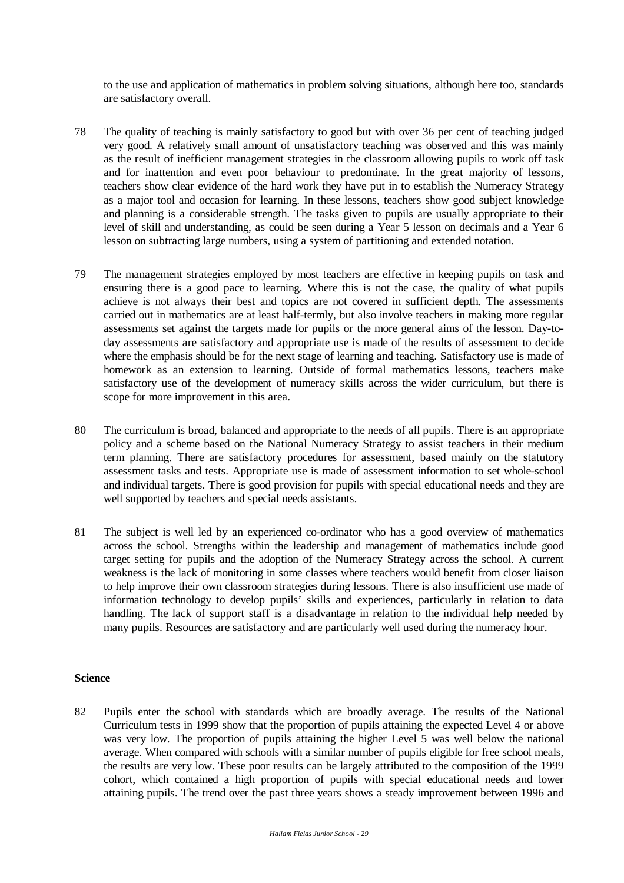to the use and application of mathematics in problem solving situations, although here too, standards are satisfactory overall.

- 78 The quality of teaching is mainly satisfactory to good but with over 36 per cent of teaching judged very good. A relatively small amount of unsatisfactory teaching was observed and this was mainly as the result of inefficient management strategies in the classroom allowing pupils to work off task and for inattention and even poor behaviour to predominate. In the great majority of lessons, teachers show clear evidence of the hard work they have put in to establish the Numeracy Strategy as a major tool and occasion for learning. In these lessons, teachers show good subject knowledge and planning is a considerable strength. The tasks given to pupils are usually appropriate to their level of skill and understanding, as could be seen during a Year 5 lesson on decimals and a Year 6 lesson on subtracting large numbers, using a system of partitioning and extended notation.
- 79 The management strategies employed by most teachers are effective in keeping pupils on task and ensuring there is a good pace to learning. Where this is not the case, the quality of what pupils achieve is not always their best and topics are not covered in sufficient depth. The assessments carried out in mathematics are at least half-termly, but also involve teachers in making more regular assessments set against the targets made for pupils or the more general aims of the lesson. Day-today assessments are satisfactory and appropriate use is made of the results of assessment to decide where the emphasis should be for the next stage of learning and teaching. Satisfactory use is made of homework as an extension to learning. Outside of formal mathematics lessons, teachers make satisfactory use of the development of numeracy skills across the wider curriculum, but there is scope for more improvement in this area.
- 80 The curriculum is broad, balanced and appropriate to the needs of all pupils. There is an appropriate policy and a scheme based on the National Numeracy Strategy to assist teachers in their medium term planning. There are satisfactory procedures for assessment, based mainly on the statutory assessment tasks and tests. Appropriate use is made of assessment information to set whole-school and individual targets. There is good provision for pupils with special educational needs and they are well supported by teachers and special needs assistants.
- 81 The subject is well led by an experienced co-ordinator who has a good overview of mathematics across the school. Strengths within the leadership and management of mathematics include good target setting for pupils and the adoption of the Numeracy Strategy across the school. A current weakness is the lack of monitoring in some classes where teachers would benefit from closer liaison to help improve their own classroom strategies during lessons. There is also insufficient use made of information technology to develop pupils' skills and experiences, particularly in relation to data handling. The lack of support staff is a disadvantage in relation to the individual help needed by many pupils. Resources are satisfactory and are particularly well used during the numeracy hour.

#### **Science**

82 Pupils enter the school with standards which are broadly average. The results of the National Curriculum tests in 1999 show that the proportion of pupils attaining the expected Level 4 or above was very low. The proportion of pupils attaining the higher Level 5 was well below the national average. When compared with schools with a similar number of pupils eligible for free school meals, the results are very low. These poor results can be largely attributed to the composition of the 1999 cohort, which contained a high proportion of pupils with special educational needs and lower attaining pupils. The trend over the past three years shows a steady improvement between 1996 and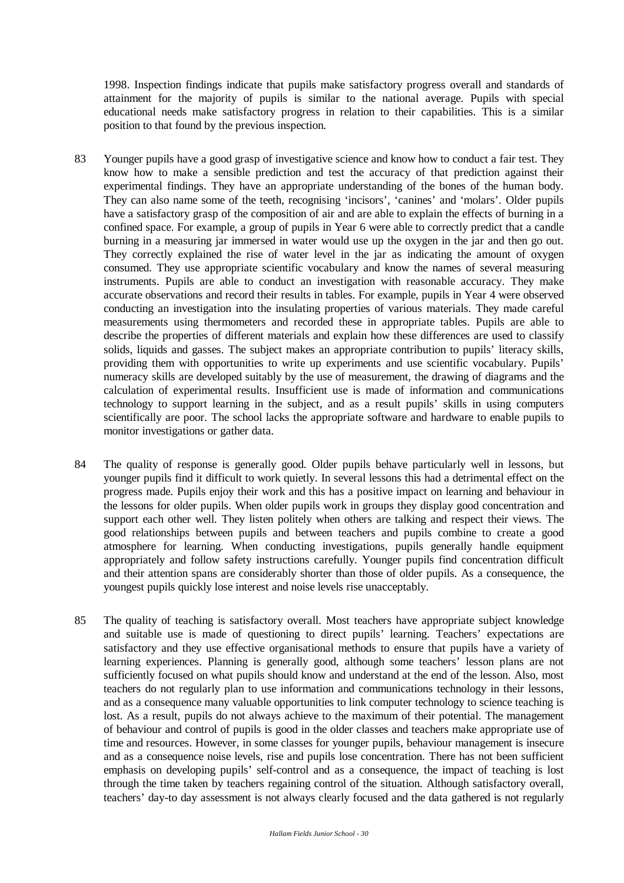1998. Inspection findings indicate that pupils make satisfactory progress overall and standards of attainment for the majority of pupils is similar to the national average. Pupils with special educational needs make satisfactory progress in relation to their capabilities. This is a similar position to that found by the previous inspection.

- 83 Younger pupils have a good grasp of investigative science and know how to conduct a fair test. They know how to make a sensible prediction and test the accuracy of that prediction against their experimental findings. They have an appropriate understanding of the bones of the human body. They can also name some of the teeth, recognising 'incisors', 'canines' and 'molars'. Older pupils have a satisfactory grasp of the composition of air and are able to explain the effects of burning in a confined space. For example, a group of pupils in Year 6 were able to correctly predict that a candle burning in a measuring jar immersed in water would use up the oxygen in the jar and then go out. They correctly explained the rise of water level in the jar as indicating the amount of oxygen consumed. They use appropriate scientific vocabulary and know the names of several measuring instruments. Pupils are able to conduct an investigation with reasonable accuracy. They make accurate observations and record their results in tables. For example, pupils in Year 4 were observed conducting an investigation into the insulating properties of various materials. They made careful measurements using thermometers and recorded these in appropriate tables. Pupils are able to describe the properties of different materials and explain how these differences are used to classify solids, liquids and gasses. The subject makes an appropriate contribution to pupils' literacy skills, providing them with opportunities to write up experiments and use scientific vocabulary. Pupils' numeracy skills are developed suitably by the use of measurement, the drawing of diagrams and the calculation of experimental results. Insufficient use is made of information and communications technology to support learning in the subject, and as a result pupils' skills in using computers scientifically are poor. The school lacks the appropriate software and hardware to enable pupils to monitor investigations or gather data.
- 84 The quality of response is generally good. Older pupils behave particularly well in lessons, but younger pupils find it difficult to work quietly. In several lessons this had a detrimental effect on the progress made. Pupils enjoy their work and this has a positive impact on learning and behaviour in the lessons for older pupils. When older pupils work in groups they display good concentration and support each other well. They listen politely when others are talking and respect their views. The good relationships between pupils and between teachers and pupils combine to create a good atmosphere for learning. When conducting investigations, pupils generally handle equipment appropriately and follow safety instructions carefully. Younger pupils find concentration difficult and their attention spans are considerably shorter than those of older pupils. As a consequence, the youngest pupils quickly lose interest and noise levels rise unacceptably.
- 85 The quality of teaching is satisfactory overall. Most teachers have appropriate subject knowledge and suitable use is made of questioning to direct pupils' learning. Teachers' expectations are satisfactory and they use effective organisational methods to ensure that pupils have a variety of learning experiences. Planning is generally good, although some teachers' lesson plans are not sufficiently focused on what pupils should know and understand at the end of the lesson. Also, most teachers do not regularly plan to use information and communications technology in their lessons, and as a consequence many valuable opportunities to link computer technology to science teaching is lost. As a result, pupils do not always achieve to the maximum of their potential. The management of behaviour and control of pupils is good in the older classes and teachers make appropriate use of time and resources. However, in some classes for younger pupils, behaviour management is insecure and as a consequence noise levels, rise and pupils lose concentration. There has not been sufficient emphasis on developing pupils' self-control and as a consequence, the impact of teaching is lost through the time taken by teachers regaining control of the situation. Although satisfactory overall, teachers' day-to day assessment is not always clearly focused and the data gathered is not regularly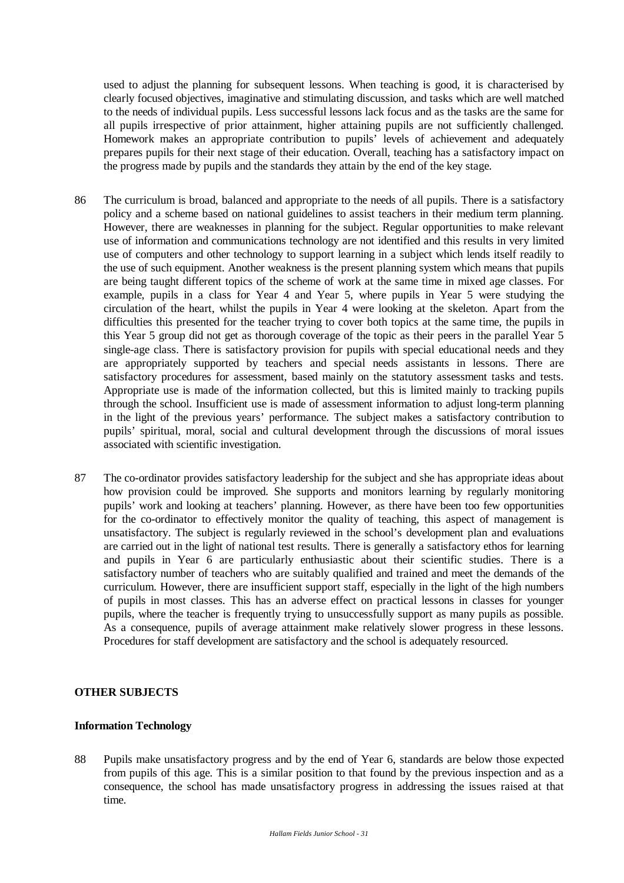used to adjust the planning for subsequent lessons. When teaching is good, it is characterised by clearly focused objectives, imaginative and stimulating discussion, and tasks which are well matched to the needs of individual pupils. Less successful lessons lack focus and as the tasks are the same for all pupils irrespective of prior attainment, higher attaining pupils are not sufficiently challenged. Homework makes an appropriate contribution to pupils' levels of achievement and adequately prepares pupils for their next stage of their education. Overall, teaching has a satisfactory impact on the progress made by pupils and the standards they attain by the end of the key stage.

- 86 The curriculum is broad, balanced and appropriate to the needs of all pupils. There is a satisfactory policy and a scheme based on national guidelines to assist teachers in their medium term planning. However, there are weaknesses in planning for the subject. Regular opportunities to make relevant use of information and communications technology are not identified and this results in very limited use of computers and other technology to support learning in a subject which lends itself readily to the use of such equipment. Another weakness is the present planning system which means that pupils are being taught different topics of the scheme of work at the same time in mixed age classes. For example, pupils in a class for Year 4 and Year 5, where pupils in Year 5 were studying the circulation of the heart, whilst the pupils in Year 4 were looking at the skeleton. Apart from the difficulties this presented for the teacher trying to cover both topics at the same time, the pupils in this Year 5 group did not get as thorough coverage of the topic as their peers in the parallel Year 5 single-age class. There is satisfactory provision for pupils with special educational needs and they are appropriately supported by teachers and special needs assistants in lessons. There are satisfactory procedures for assessment, based mainly on the statutory assessment tasks and tests. Appropriate use is made of the information collected, but this is limited mainly to tracking pupils through the school. Insufficient use is made of assessment information to adjust long-term planning in the light of the previous years' performance. The subject makes a satisfactory contribution to pupils' spiritual, moral, social and cultural development through the discussions of moral issues associated with scientific investigation.
- 87 The co-ordinator provides satisfactory leadership for the subject and she has appropriate ideas about how provision could be improved. She supports and monitors learning by regularly monitoring pupils' work and looking at teachers' planning. However, as there have been too few opportunities for the co-ordinator to effectively monitor the quality of teaching, this aspect of management is unsatisfactory. The subject is regularly reviewed in the school's development plan and evaluations are carried out in the light of national test results. There is generally a satisfactory ethos for learning and pupils in Year 6 are particularly enthusiastic about their scientific studies. There is a satisfactory number of teachers who are suitably qualified and trained and meet the demands of the curriculum. However, there are insufficient support staff, especially in the light of the high numbers of pupils in most classes. This has an adverse effect on practical lessons in classes for younger pupils, where the teacher is frequently trying to unsuccessfully support as many pupils as possible. As a consequence, pupils of average attainment make relatively slower progress in these lessons. Procedures for staff development are satisfactory and the school is adequately resourced.

#### **OTHER SUBJECTS**

#### **Information Technology**

88 Pupils make unsatisfactory progress and by the end of Year 6, standards are below those expected from pupils of this age. This is a similar position to that found by the previous inspection and as a consequence, the school has made unsatisfactory progress in addressing the issues raised at that time.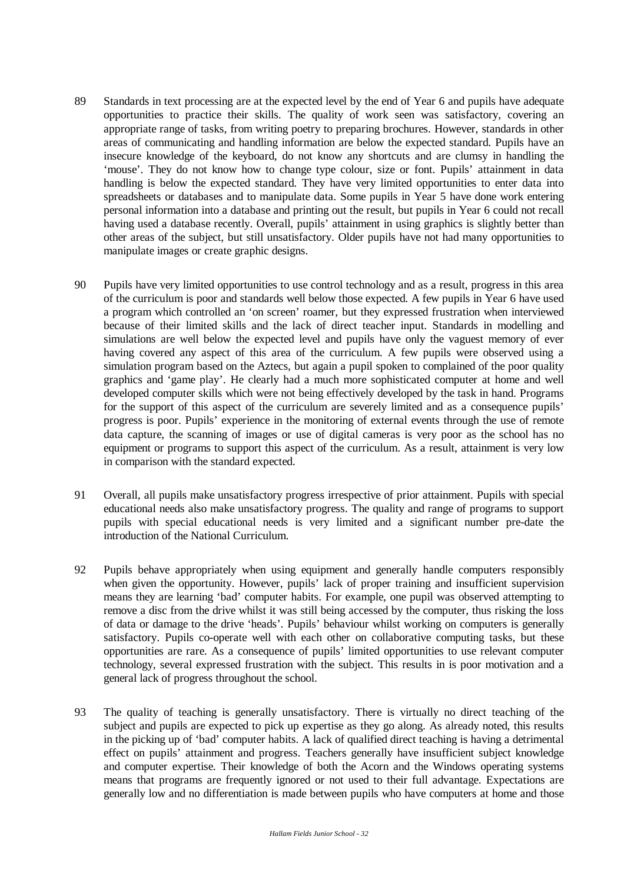- 89 Standards in text processing are at the expected level by the end of Year 6 and pupils have adequate opportunities to practice their skills. The quality of work seen was satisfactory, covering an appropriate range of tasks, from writing poetry to preparing brochures. However, standards in other areas of communicating and handling information are below the expected standard. Pupils have an insecure knowledge of the keyboard, do not know any shortcuts and are clumsy in handling the 'mouse'. They do not know how to change type colour, size or font. Pupils' attainment in data handling is below the expected standard. They have very limited opportunities to enter data into spreadsheets or databases and to manipulate data. Some pupils in Year 5 have done work entering personal information into a database and printing out the result, but pupils in Year 6 could not recall having used a database recently. Overall, pupils' attainment in using graphics is slightly better than other areas of the subject, but still unsatisfactory. Older pupils have not had many opportunities to manipulate images or create graphic designs.
- 90 Pupils have very limited opportunities to use control technology and as a result, progress in this area of the curriculum is poor and standards well below those expected. A few pupils in Year 6 have used a program which controlled an 'on screen' roamer, but they expressed frustration when interviewed because of their limited skills and the lack of direct teacher input. Standards in modelling and simulations are well below the expected level and pupils have only the vaguest memory of ever having covered any aspect of this area of the curriculum. A few pupils were observed using a simulation program based on the Aztecs, but again a pupil spoken to complained of the poor quality graphics and 'game play'. He clearly had a much more sophisticated computer at home and well developed computer skills which were not being effectively developed by the task in hand. Programs for the support of this aspect of the curriculum are severely limited and as a consequence pupils' progress is poor. Pupils' experience in the monitoring of external events through the use of remote data capture, the scanning of images or use of digital cameras is very poor as the school has no equipment or programs to support this aspect of the curriculum. As a result, attainment is very low in comparison with the standard expected.
- 91 Overall, all pupils make unsatisfactory progress irrespective of prior attainment. Pupils with special educational needs also make unsatisfactory progress. The quality and range of programs to support pupils with special educational needs is very limited and a significant number pre-date the introduction of the National Curriculum.
- 92 Pupils behave appropriately when using equipment and generally handle computers responsibly when given the opportunity. However, pupils' lack of proper training and insufficient supervision means they are learning 'bad' computer habits. For example, one pupil was observed attempting to remove a disc from the drive whilst it was still being accessed by the computer, thus risking the loss of data or damage to the drive 'heads'. Pupils' behaviour whilst working on computers is generally satisfactory. Pupils co-operate well with each other on collaborative computing tasks, but these opportunities are rare. As a consequence of pupils' limited opportunities to use relevant computer technology, several expressed frustration with the subject. This results in is poor motivation and a general lack of progress throughout the school.
- 93 The quality of teaching is generally unsatisfactory. There is virtually no direct teaching of the subject and pupils are expected to pick up expertise as they go along. As already noted, this results in the picking up of 'bad' computer habits. A lack of qualified direct teaching is having a detrimental effect on pupils' attainment and progress. Teachers generally have insufficient subject knowledge and computer expertise. Their knowledge of both the Acorn and the Windows operating systems means that programs are frequently ignored or not used to their full advantage. Expectations are generally low and no differentiation is made between pupils who have computers at home and those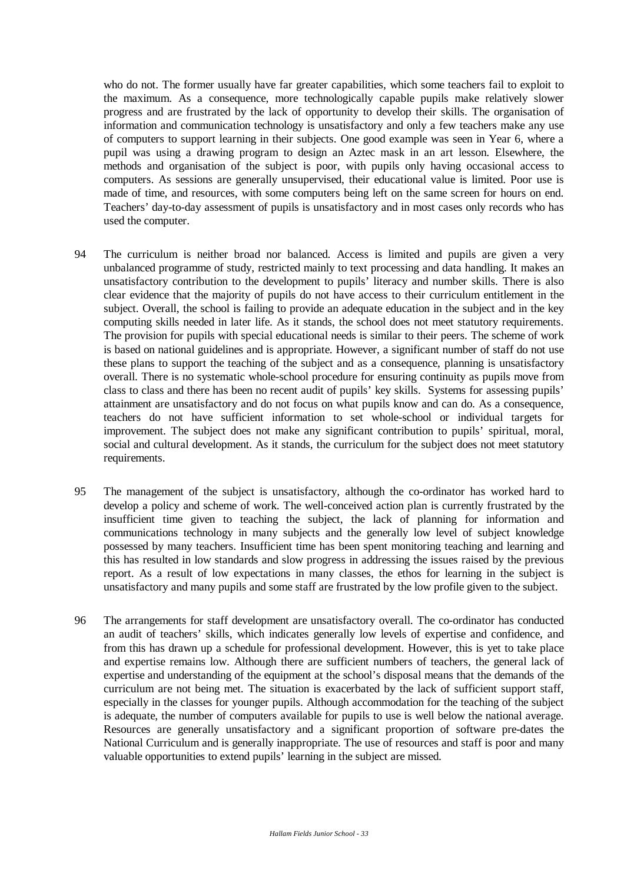who do not. The former usually have far greater capabilities, which some teachers fail to exploit to the maximum. As a consequence, more technologically capable pupils make relatively slower progress and are frustrated by the lack of opportunity to develop their skills. The organisation of information and communication technology is unsatisfactory and only a few teachers make any use of computers to support learning in their subjects. One good example was seen in Year 6, where a pupil was using a drawing program to design an Aztec mask in an art lesson. Elsewhere, the methods and organisation of the subject is poor, with pupils only having occasional access to computers. As sessions are generally unsupervised, their educational value is limited. Poor use is made of time, and resources, with some computers being left on the same screen for hours on end. Teachers' day-to-day assessment of pupils is unsatisfactory and in most cases only records who has used the computer.

- 94 The curriculum is neither broad nor balanced. Access is limited and pupils are given a very unbalanced programme of study, restricted mainly to text processing and data handling. It makes an unsatisfactory contribution to the development to pupils' literacy and number skills. There is also clear evidence that the majority of pupils do not have access to their curriculum entitlement in the subject. Overall, the school is failing to provide an adequate education in the subject and in the key computing skills needed in later life. As it stands, the school does not meet statutory requirements. The provision for pupils with special educational needs is similar to their peers. The scheme of work is based on national guidelines and is appropriate. However, a significant number of staff do not use these plans to support the teaching of the subject and as a consequence, planning is unsatisfactory overall. There is no systematic whole-school procedure for ensuring continuity as pupils move from class to class and there has been no recent audit of pupils' key skills. Systems for assessing pupils' attainment are unsatisfactory and do not focus on what pupils know and can do. As a consequence, teachers do not have sufficient information to set whole-school or individual targets for improvement. The subject does not make any significant contribution to pupils' spiritual, moral, social and cultural development. As it stands, the curriculum for the subject does not meet statutory requirements.
- 95 The management of the subject is unsatisfactory, although the co-ordinator has worked hard to develop a policy and scheme of work. The well-conceived action plan is currently frustrated by the insufficient time given to teaching the subject, the lack of planning for information and communications technology in many subjects and the generally low level of subject knowledge possessed by many teachers. Insufficient time has been spent monitoring teaching and learning and this has resulted in low standards and slow progress in addressing the issues raised by the previous report. As a result of low expectations in many classes, the ethos for learning in the subject is unsatisfactory and many pupils and some staff are frustrated by the low profile given to the subject.
- 96 The arrangements for staff development are unsatisfactory overall. The co-ordinator has conducted an audit of teachers' skills, which indicates generally low levels of expertise and confidence, and from this has drawn up a schedule for professional development. However, this is yet to take place and expertise remains low. Although there are sufficient numbers of teachers, the general lack of expertise and understanding of the equipment at the school's disposal means that the demands of the curriculum are not being met. The situation is exacerbated by the lack of sufficient support staff, especially in the classes for younger pupils. Although accommodation for the teaching of the subject is adequate, the number of computers available for pupils to use is well below the national average. Resources are generally unsatisfactory and a significant proportion of software pre-dates the National Curriculum and is generally inappropriate. The use of resources and staff is poor and many valuable opportunities to extend pupils' learning in the subject are missed.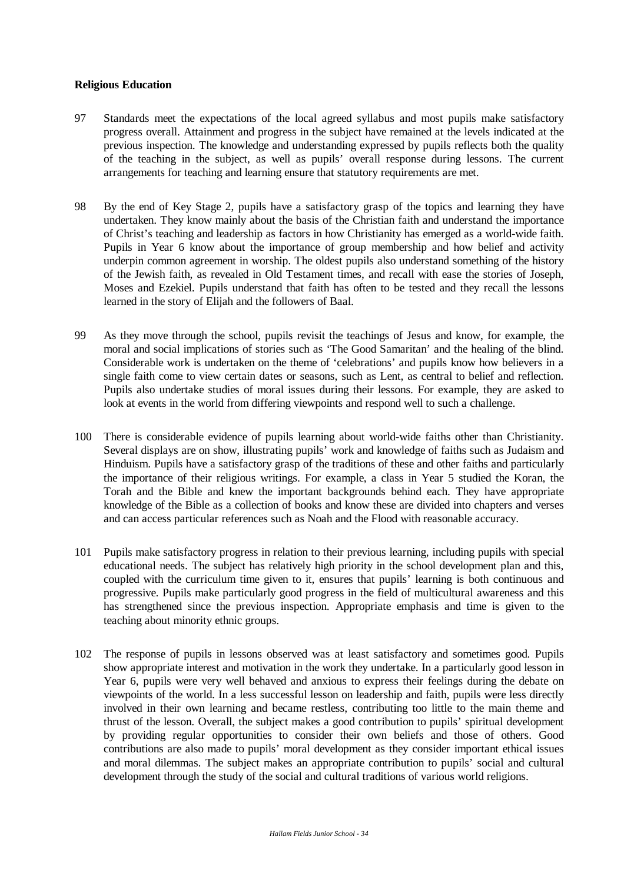#### **Religious Education**

- 97 Standards meet the expectations of the local agreed syllabus and most pupils make satisfactory progress overall. Attainment and progress in the subject have remained at the levels indicated at the previous inspection. The knowledge and understanding expressed by pupils reflects both the quality of the teaching in the subject, as well as pupils' overall response during lessons. The current arrangements for teaching and learning ensure that statutory requirements are met.
- 98 By the end of Key Stage 2, pupils have a satisfactory grasp of the topics and learning they have undertaken. They know mainly about the basis of the Christian faith and understand the importance of Christ's teaching and leadership as factors in how Christianity has emerged as a world-wide faith. Pupils in Year 6 know about the importance of group membership and how belief and activity underpin common agreement in worship. The oldest pupils also understand something of the history of the Jewish faith, as revealed in Old Testament times, and recall with ease the stories of Joseph, Moses and Ezekiel. Pupils understand that faith has often to be tested and they recall the lessons learned in the story of Elijah and the followers of Baal.
- 99 As they move through the school, pupils revisit the teachings of Jesus and know, for example, the moral and social implications of stories such as 'The Good Samaritan' and the healing of the blind. Considerable work is undertaken on the theme of 'celebrations' and pupils know how believers in a single faith come to view certain dates or seasons, such as Lent, as central to belief and reflection. Pupils also undertake studies of moral issues during their lessons. For example, they are asked to look at events in the world from differing viewpoints and respond well to such a challenge.
- 100 There is considerable evidence of pupils learning about world-wide faiths other than Christianity. Several displays are on show, illustrating pupils' work and knowledge of faiths such as Judaism and Hinduism. Pupils have a satisfactory grasp of the traditions of these and other faiths and particularly the importance of their religious writings. For example, a class in Year 5 studied the Koran, the Torah and the Bible and knew the important backgrounds behind each. They have appropriate knowledge of the Bible as a collection of books and know these are divided into chapters and verses and can access particular references such as Noah and the Flood with reasonable accuracy.
- 101 Pupils make satisfactory progress in relation to their previous learning, including pupils with special educational needs. The subject has relatively high priority in the school development plan and this, coupled with the curriculum time given to it, ensures that pupils' learning is both continuous and progressive. Pupils make particularly good progress in the field of multicultural awareness and this has strengthened since the previous inspection. Appropriate emphasis and time is given to the teaching about minority ethnic groups.
- 102 The response of pupils in lessons observed was at least satisfactory and sometimes good. Pupils show appropriate interest and motivation in the work they undertake. In a particularly good lesson in Year 6, pupils were very well behaved and anxious to express their feelings during the debate on viewpoints of the world. In a less successful lesson on leadership and faith, pupils were less directly involved in their own learning and became restless, contributing too little to the main theme and thrust of the lesson. Overall, the subject makes a good contribution to pupils' spiritual development by providing regular opportunities to consider their own beliefs and those of others. Good contributions are also made to pupils' moral development as they consider important ethical issues and moral dilemmas. The subject makes an appropriate contribution to pupils' social and cultural development through the study of the social and cultural traditions of various world religions.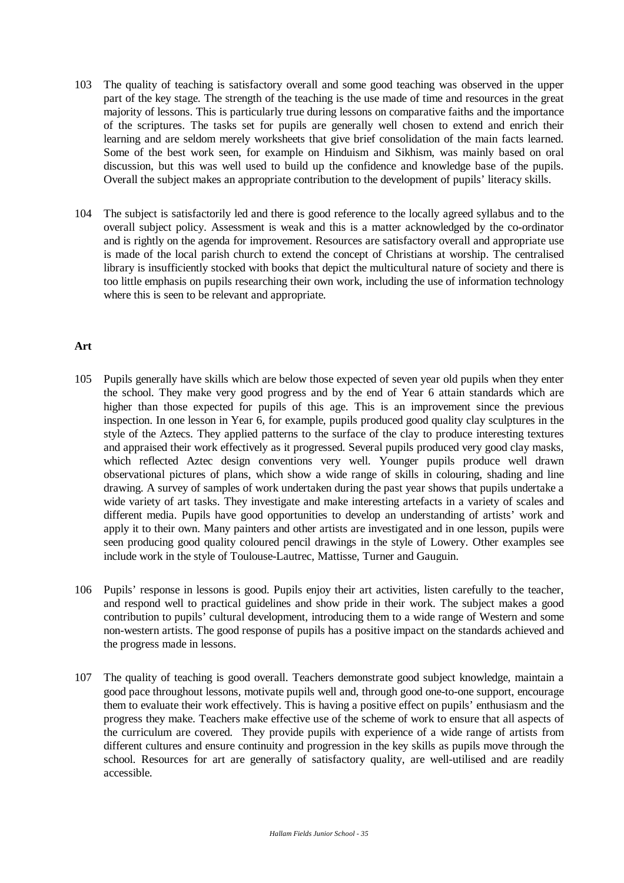- 103 The quality of teaching is satisfactory overall and some good teaching was observed in the upper part of the key stage. The strength of the teaching is the use made of time and resources in the great majority of lessons. This is particularly true during lessons on comparative faiths and the importance of the scriptures. The tasks set for pupils are generally well chosen to extend and enrich their learning and are seldom merely worksheets that give brief consolidation of the main facts learned. Some of the best work seen, for example on Hinduism and Sikhism, was mainly based on oral discussion, but this was well used to build up the confidence and knowledge base of the pupils. Overall the subject makes an appropriate contribution to the development of pupils' literacy skills.
- 104 The subject is satisfactorily led and there is good reference to the locally agreed syllabus and to the overall subject policy. Assessment is weak and this is a matter acknowledged by the co-ordinator and is rightly on the agenda for improvement. Resources are satisfactory overall and appropriate use is made of the local parish church to extend the concept of Christians at worship. The centralised library is insufficiently stocked with books that depict the multicultural nature of society and there is too little emphasis on pupils researching their own work, including the use of information technology where this is seen to be relevant and appropriate.

## **Art**

- 105 Pupils generally have skills which are below those expected of seven year old pupils when they enter the school. They make very good progress and by the end of Year 6 attain standards which are higher than those expected for pupils of this age. This is an improvement since the previous inspection. In one lesson in Year 6, for example, pupils produced good quality clay sculptures in the style of the Aztecs. They applied patterns to the surface of the clay to produce interesting textures and appraised their work effectively as it progressed. Several pupils produced very good clay masks, which reflected Aztec design conventions very well. Younger pupils produce well drawn observational pictures of plans, which show a wide range of skills in colouring, shading and line drawing. A survey of samples of work undertaken during the past year shows that pupils undertake a wide variety of art tasks. They investigate and make interesting artefacts in a variety of scales and different media. Pupils have good opportunities to develop an understanding of artists' work and apply it to their own. Many painters and other artists are investigated and in one lesson, pupils were seen producing good quality coloured pencil drawings in the style of Lowery. Other examples see include work in the style of Toulouse-Lautrec, Mattisse, Turner and Gauguin.
- 106 Pupils' response in lessons is good. Pupils enjoy their art activities, listen carefully to the teacher, and respond well to practical guidelines and show pride in their work. The subject makes a good contribution to pupils' cultural development, introducing them to a wide range of Western and some non-western artists. The good response of pupils has a positive impact on the standards achieved and the progress made in lessons.
- 107 The quality of teaching is good overall. Teachers demonstrate good subject knowledge, maintain a good pace throughout lessons, motivate pupils well and, through good one-to-one support, encourage them to evaluate their work effectively. This is having a positive effect on pupils' enthusiasm and the progress they make. Teachers make effective use of the scheme of work to ensure that all aspects of the curriculum are covered. They provide pupils with experience of a wide range of artists from different cultures and ensure continuity and progression in the key skills as pupils move through the school. Resources for art are generally of satisfactory quality, are well-utilised and are readily accessible.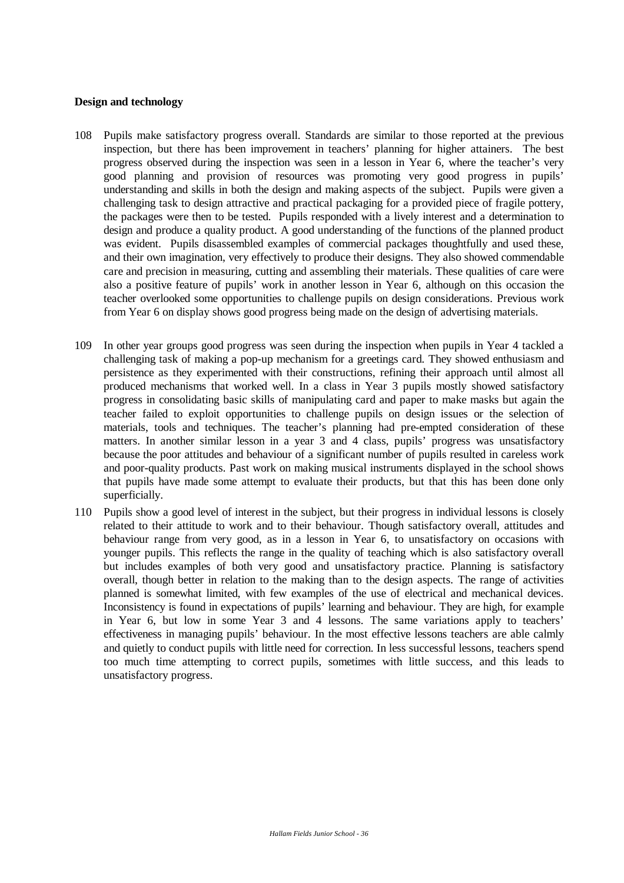# **Design and technology**

- 108 Pupils make satisfactory progress overall. Standards are similar to those reported at the previous inspection, but there has been improvement in teachers' planning for higher attainers. The best progress observed during the inspection was seen in a lesson in Year 6, where the teacher's very good planning and provision of resources was promoting very good progress in pupils' understanding and skills in both the design and making aspects of the subject. Pupils were given a challenging task to design attractive and practical packaging for a provided piece of fragile pottery, the packages were then to be tested. Pupils responded with a lively interest and a determination to design and produce a quality product. A good understanding of the functions of the planned product was evident. Pupils disassembled examples of commercial packages thoughtfully and used these, and their own imagination, very effectively to produce their designs. They also showed commendable care and precision in measuring, cutting and assembling their materials. These qualities of care were also a positive feature of pupils' work in another lesson in Year 6, although on this occasion the teacher overlooked some opportunities to challenge pupils on design considerations. Previous work from Year 6 on display shows good progress being made on the design of advertising materials.
- 109 In other year groups good progress was seen during the inspection when pupils in Year 4 tackled a challenging task of making a pop-up mechanism for a greetings card. They showed enthusiasm and persistence as they experimented with their constructions, refining their approach until almost all produced mechanisms that worked well. In a class in Year 3 pupils mostly showed satisfactory progress in consolidating basic skills of manipulating card and paper to make masks but again the teacher failed to exploit opportunities to challenge pupils on design issues or the selection of materials, tools and techniques. The teacher's planning had pre-empted consideration of these matters. In another similar lesson in a year 3 and 4 class, pupils' progress was unsatisfactory because the poor attitudes and behaviour of a significant number of pupils resulted in careless work and poor-quality products. Past work on making musical instruments displayed in the school shows that pupils have made some attempt to evaluate their products, but that this has been done only superficially.
- 110 Pupils show a good level of interest in the subject, but their progress in individual lessons is closely related to their attitude to work and to their behaviour. Though satisfactory overall, attitudes and behaviour range from very good, as in a lesson in Year 6, to unsatisfactory on occasions with younger pupils. This reflects the range in the quality of teaching which is also satisfactory overall but includes examples of both very good and unsatisfactory practice. Planning is satisfactory overall, though better in relation to the making than to the design aspects. The range of activities planned is somewhat limited, with few examples of the use of electrical and mechanical devices. Inconsistency is found in expectations of pupils' learning and behaviour. They are high, for example in Year 6, but low in some Year 3 and 4 lessons. The same variations apply to teachers' effectiveness in managing pupils' behaviour. In the most effective lessons teachers are able calmly and quietly to conduct pupils with little need for correction. In less successful lessons, teachers spend too much time attempting to correct pupils, sometimes with little success, and this leads to unsatisfactory progress.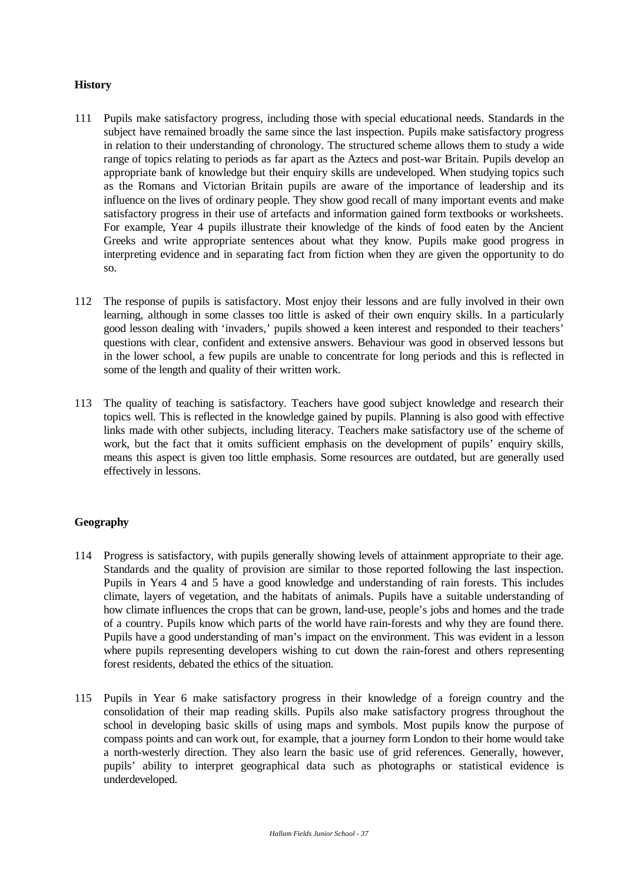## **History**

- 111 Pupils make satisfactory progress, including those with special educational needs. Standards in the subject have remained broadly the same since the last inspection. Pupils make satisfactory progress in relation to their understanding of chronology. The structured scheme allows them to study a wide range of topics relating to periods as far apart as the Aztecs and post-war Britain. Pupils develop an appropriate bank of knowledge but their enquiry skills are undeveloped. When studying topics such as the Romans and Victorian Britain pupils are aware of the importance of leadership and its influence on the lives of ordinary people. They show good recall of many important events and make satisfactory progress in their use of artefacts and information gained form textbooks or worksheets. For example, Year 4 pupils illustrate their knowledge of the kinds of food eaten by the Ancient Greeks and write appropriate sentences about what they know. Pupils make good progress in interpreting evidence and in separating fact from fiction when they are given the opportunity to do so.
- 112 The response of pupils is satisfactory. Most enjoy their lessons and are fully involved in their own learning, although in some classes too little is asked of their own enquiry skills. In a particularly good lesson dealing with 'invaders,' pupils showed a keen interest and responded to their teachers' questions with clear, confident and extensive answers. Behaviour was good in observed lessons but in the lower school, a few pupils are unable to concentrate for long periods and this is reflected in some of the length and quality of their written work.
- 113 The quality of teaching is satisfactory. Teachers have good subject knowledge and research their topics well. This is reflected in the knowledge gained by pupils. Planning is also good with effective links made with other subjects, including literacy. Teachers make satisfactory use of the scheme of work, but the fact that it omits sufficient emphasis on the development of pupils' enquiry skills, means this aspect is given too little emphasis. Some resources are outdated, but are generally used effectively in lessons.

# **Geography**

- 114 Progress is satisfactory, with pupils generally showing levels of attainment appropriate to their age. Standards and the quality of provision are similar to those reported following the last inspection. Pupils in Years 4 and 5 have a good knowledge and understanding of rain forests. This includes climate, layers of vegetation, and the habitats of animals. Pupils have a suitable understanding of how climate influences the crops that can be grown, land-use, people's jobs and homes and the trade of a country. Pupils know which parts of the world have rain-forests and why they are found there. Pupils have a good understanding of man's impact on the environment. This was evident in a lesson where pupils representing developers wishing to cut down the rain-forest and others representing forest residents, debated the ethics of the situation.
- 115 Pupils in Year 6 make satisfactory progress in their knowledge of a foreign country and the consolidation of their map reading skills. Pupils also make satisfactory progress throughout the school in developing basic skills of using maps and symbols. Most pupils know the purpose of compass points and can work out, for example, that a journey form London to their home would take a north-westerly direction. They also learn the basic use of grid references. Generally, however, pupils' ability to interpret geographical data such as photographs or statistical evidence is underdeveloped.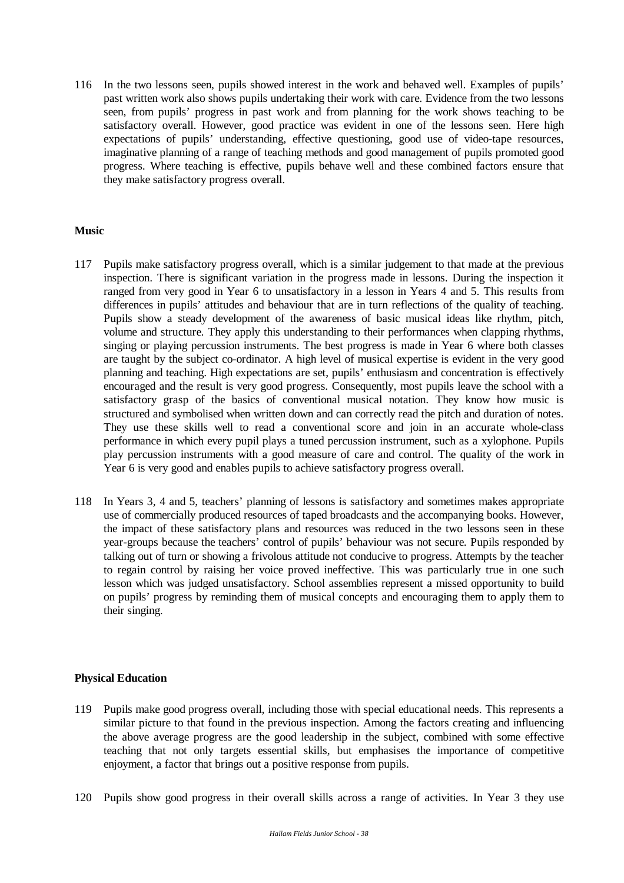116 In the two lessons seen, pupils showed interest in the work and behaved well. Examples of pupils' past written work also shows pupils undertaking their work with care. Evidence from the two lessons seen, from pupils' progress in past work and from planning for the work shows teaching to be satisfactory overall. However, good practice was evident in one of the lessons seen. Here high expectations of pupils' understanding, effective questioning, good use of video-tape resources, imaginative planning of a range of teaching methods and good management of pupils promoted good progress. Where teaching is effective, pupils behave well and these combined factors ensure that they make satisfactory progress overall.

## **Music**

- 117 Pupils make satisfactory progress overall, which is a similar judgement to that made at the previous inspection. There is significant variation in the progress made in lessons. During the inspection it ranged from very good in Year 6 to unsatisfactory in a lesson in Years 4 and 5. This results from differences in pupils' attitudes and behaviour that are in turn reflections of the quality of teaching. Pupils show a steady development of the awareness of basic musical ideas like rhythm, pitch, volume and structure. They apply this understanding to their performances when clapping rhythms, singing or playing percussion instruments. The best progress is made in Year 6 where both classes are taught by the subject co-ordinator. A high level of musical expertise is evident in the very good planning and teaching. High expectations are set, pupils' enthusiasm and concentration is effectively encouraged and the result is very good progress. Consequently, most pupils leave the school with a satisfactory grasp of the basics of conventional musical notation. They know how music is structured and symbolised when written down and can correctly read the pitch and duration of notes. They use these skills well to read a conventional score and join in an accurate whole-class performance in which every pupil plays a tuned percussion instrument, such as a xylophone. Pupils play percussion instruments with a good measure of care and control. The quality of the work in Year 6 is very good and enables pupils to achieve satisfactory progress overall.
- 118 In Years 3, 4 and 5, teachers' planning of lessons is satisfactory and sometimes makes appropriate use of commercially produced resources of taped broadcasts and the accompanying books. However, the impact of these satisfactory plans and resources was reduced in the two lessons seen in these year-groups because the teachers' control of pupils' behaviour was not secure. Pupils responded by talking out of turn or showing a frivolous attitude not conducive to progress. Attempts by the teacher to regain control by raising her voice proved ineffective. This was particularly true in one such lesson which was judged unsatisfactory. School assemblies represent a missed opportunity to build on pupils' progress by reminding them of musical concepts and encouraging them to apply them to their singing.

#### **Physical Education**

- 119 Pupils make good progress overall, including those with special educational needs. This represents a similar picture to that found in the previous inspection. Among the factors creating and influencing the above average progress are the good leadership in the subject, combined with some effective teaching that not only targets essential skills, but emphasises the importance of competitive enjoyment, a factor that brings out a positive response from pupils.
- 120 Pupils show good progress in their overall skills across a range of activities. In Year 3 they use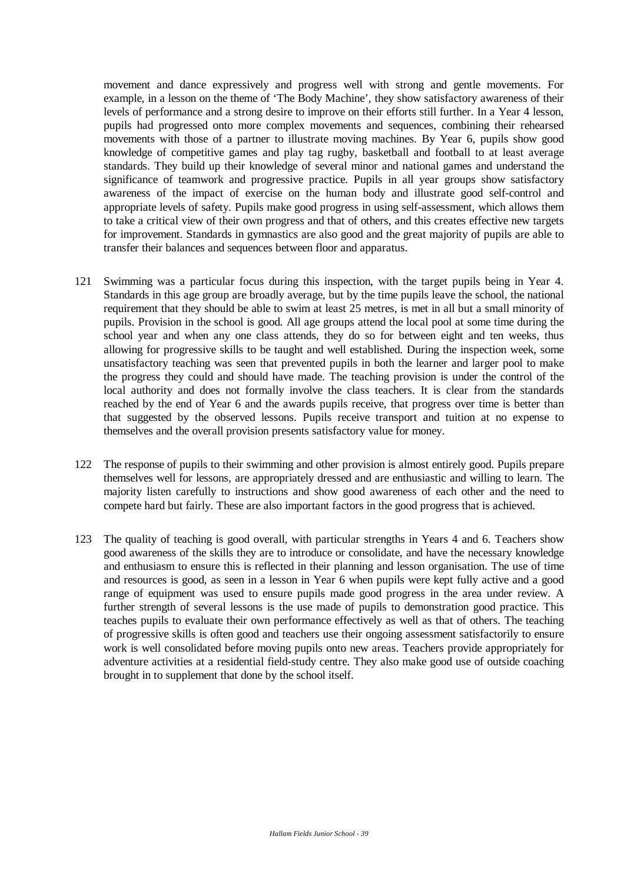movement and dance expressively and progress well with strong and gentle movements. For example, in a lesson on the theme of 'The Body Machine', they show satisfactory awareness of their levels of performance and a strong desire to improve on their efforts still further. In a Year 4 lesson, pupils had progressed onto more complex movements and sequences, combining their rehearsed movements with those of a partner to illustrate moving machines. By Year 6, pupils show good knowledge of competitive games and play tag rugby, basketball and football to at least average standards. They build up their knowledge of several minor and national games and understand the significance of teamwork and progressive practice. Pupils in all year groups show satisfactory awareness of the impact of exercise on the human body and illustrate good self-control and appropriate levels of safety. Pupils make good progress in using self-assessment, which allows them to take a critical view of their own progress and that of others, and this creates effective new targets for improvement. Standards in gymnastics are also good and the great majority of pupils are able to transfer their balances and sequences between floor and apparatus.

- 121 Swimming was a particular focus during this inspection, with the target pupils being in Year 4. Standards in this age group are broadly average, but by the time pupils leave the school, the national requirement that they should be able to swim at least 25 metres, is met in all but a small minority of pupils. Provision in the school is good. All age groups attend the local pool at some time during the school year and when any one class attends, they do so for between eight and ten weeks, thus allowing for progressive skills to be taught and well established. During the inspection week, some unsatisfactory teaching was seen that prevented pupils in both the learner and larger pool to make the progress they could and should have made. The teaching provision is under the control of the local authority and does not formally involve the class teachers. It is clear from the standards reached by the end of Year 6 and the awards pupils receive, that progress over time is better than that suggested by the observed lessons. Pupils receive transport and tuition at no expense to themselves and the overall provision presents satisfactory value for money.
- 122 The response of pupils to their swimming and other provision is almost entirely good. Pupils prepare themselves well for lessons, are appropriately dressed and are enthusiastic and willing to learn. The majority listen carefully to instructions and show good awareness of each other and the need to compete hard but fairly. These are also important factors in the good progress that is achieved.
- 123 The quality of teaching is good overall, with particular strengths in Years 4 and 6. Teachers show good awareness of the skills they are to introduce or consolidate, and have the necessary knowledge and enthusiasm to ensure this is reflected in their planning and lesson organisation. The use of time and resources is good, as seen in a lesson in Year 6 when pupils were kept fully active and a good range of equipment was used to ensure pupils made good progress in the area under review. A further strength of several lessons is the use made of pupils to demonstration good practice. This teaches pupils to evaluate their own performance effectively as well as that of others. The teaching of progressive skills is often good and teachers use their ongoing assessment satisfactorily to ensure work is well consolidated before moving pupils onto new areas. Teachers provide appropriately for adventure activities at a residential field-study centre. They also make good use of outside coaching brought in to supplement that done by the school itself.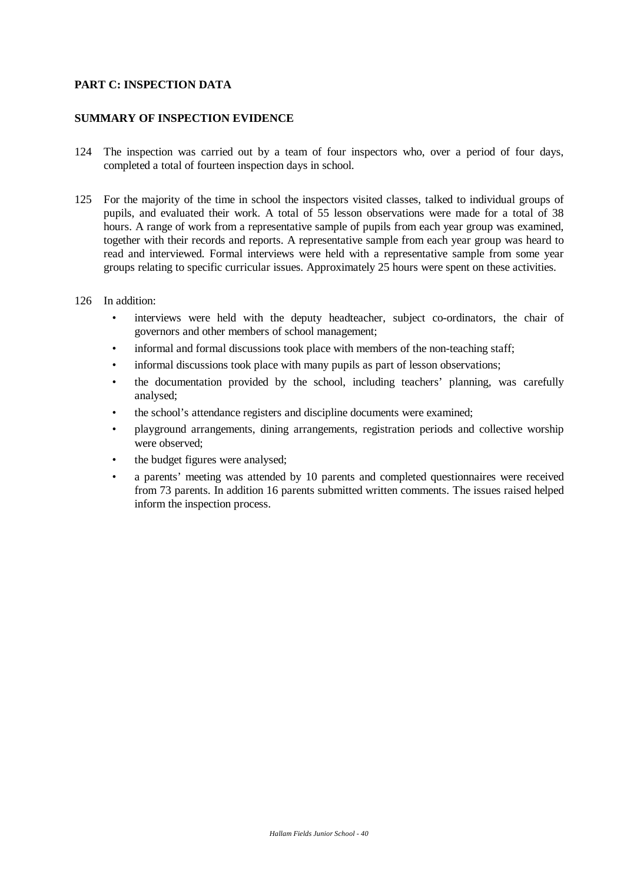## **PART C: INSPECTION DATA**

#### **SUMMARY OF INSPECTION EVIDENCE**

- 124 The inspection was carried out by a team of four inspectors who, over a period of four days, completed a total of fourteen inspection days in school.
- 125 For the majority of the time in school the inspectors visited classes, talked to individual groups of pupils, and evaluated their work. A total of 55 lesson observations were made for a total of 38 hours. A range of work from a representative sample of pupils from each year group was examined, together with their records and reports. A representative sample from each year group was heard to read and interviewed. Formal interviews were held with a representative sample from some year groups relating to specific curricular issues. Approximately 25 hours were spent on these activities.
- 126 In addition:
	- interviews were held with the deputy headteacher, subject co-ordinators, the chair of governors and other members of school management;
	- informal and formal discussions took place with members of the non-teaching staff;
	- informal discussions took place with many pupils as part of lesson observations;
	- the documentation provided by the school, including teachers' planning, was carefully analysed;
	- the school's attendance registers and discipline documents were examined;
	- playground arrangements, dining arrangements, registration periods and collective worship were observed;
	- the budget figures were analysed;
	- a parents' meeting was attended by 10 parents and completed questionnaires were received from 73 parents. In addition 16 parents submitted written comments. The issues raised helped inform the inspection process.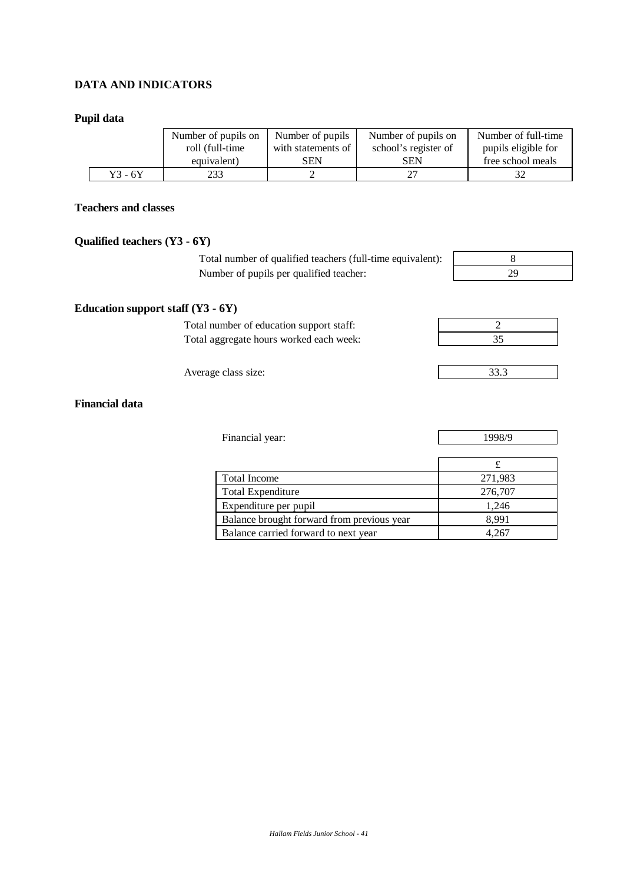# **DATA AND INDICATORS**

#### **Pupil data**

|         | Number of pupils on | Number of pupils   | Number of pupils on  | Number of full-time |  |
|---------|---------------------|--------------------|----------------------|---------------------|--|
|         | roll (full-time     | with statements of | school's register of | pupils eligible for |  |
|         | equivalent)         | SEN                | SEN                  | free school meals   |  |
| Y3 - 6Y | 233                 |                    |                      |                     |  |

## **Teachers and classes**

## **Qualified teachers (Y3 - 6Y)**

**Education support staff (Y3 - 6Y)**

Total number of qualified teachers (full-time equivalent): 8 Number of pupils per qualified teacher:

| Q<br>Ω |  |
|--------|--|
| 20     |  |



| Average class size: | JJ.J |
|---------------------|------|
|                     |      |

# **Financial data**

| Financial year:                            | 1998/9  |  |  |  |
|--------------------------------------------|---------|--|--|--|
|                                            |         |  |  |  |
|                                            |         |  |  |  |
| Total Income                               | 271,983 |  |  |  |
| <b>Total Expenditure</b>                   | 276,707 |  |  |  |
| Expenditure per pupil                      | 1,246   |  |  |  |
| Balance brought forward from previous year | 8,991   |  |  |  |
| Balance carried forward to next year       | 4.267   |  |  |  |